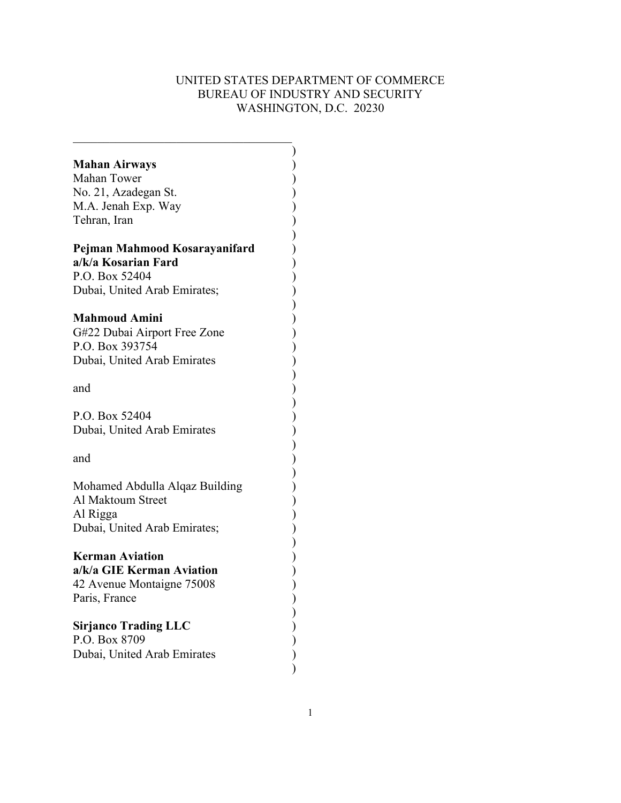# UNITED STATES DEPARTMENT OF COMMERCE BUREAU OF INDUSTRY AND SECURITY WASHINGTON, D.C. 20230

| <b>Mahan Airways</b>           |  |
|--------------------------------|--|
| Mahan Tower                    |  |
| No. 21, Azadegan St.           |  |
|                                |  |
| M.A. Jenah Exp. Way            |  |
| Tehran, Iran                   |  |
|                                |  |
| Pejman Mahmood Kosarayanifard  |  |
| a/k/a Kosarian Fard            |  |
| P.O. Box 52404                 |  |
| Dubai, United Arab Emirates;   |  |
|                                |  |
| <b>Mahmoud Amini</b>           |  |
| G#22 Dubai Airport Free Zone   |  |
| P.O. Box 393754                |  |
| Dubai, United Arab Emirates    |  |
|                                |  |
| and                            |  |
|                                |  |
| P.O. Box 52404                 |  |
| Dubai, United Arab Emirates    |  |
|                                |  |
| and                            |  |
|                                |  |
|                                |  |
| Mohamed Abdulla Alqaz Building |  |
| Al Maktoum Street              |  |
| Al Rigga                       |  |
| Dubai, United Arab Emirates;   |  |
|                                |  |
| <b>Kerman Aviation</b>         |  |
| a/k/a GIE Kerman Aviation      |  |
| 42 Avenue Montaigne 75008      |  |
| Paris, France                  |  |
|                                |  |
| <b>Sirjanco Trading LLC</b>    |  |
| P.O. Box 8709                  |  |
| Dubai, United Arab Emirates    |  |
|                                |  |
|                                |  |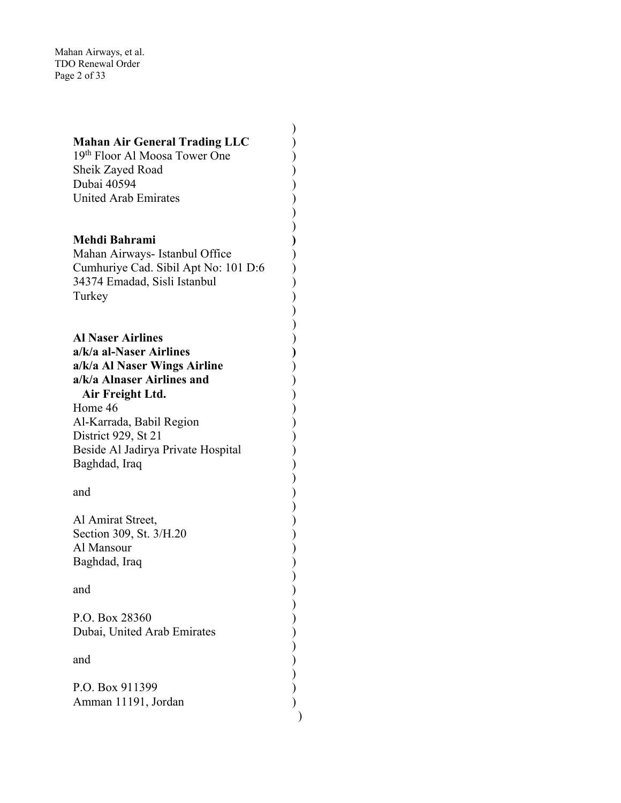Mahan Airways, et al. TDO Renewal Order Page 2 of 33

| <b>Mahan Air General Trading LLC</b> |  |
|--------------------------------------|--|
| 19th Floor Al Moosa Tower One        |  |
|                                      |  |
| Sheik Zayed Road                     |  |
| Dubai 40594                          |  |
| <b>United Arab Emirates</b>          |  |
|                                      |  |
|                                      |  |
|                                      |  |
|                                      |  |
| Mehdi Bahrami                        |  |
| Mahan Airways- Istanbul Office       |  |
|                                      |  |
| Cumhuriye Cad. Sibil Apt No: 101 D:6 |  |
| 34374 Emadad, Sisli Istanbul         |  |
|                                      |  |
| Turkey                               |  |
|                                      |  |
|                                      |  |
|                                      |  |
| <b>Al Naser Airlines</b>             |  |
|                                      |  |
| a/k/a al-Naser Airlines              |  |
| a/k/a Al Naser Wings Airline         |  |
|                                      |  |
| a/k/a Alnaser Airlines and           |  |
| Air Freight Ltd.                     |  |
|                                      |  |
| Home 46                              |  |
| Al-Karrada, Babil Region             |  |
|                                      |  |
| District 929, St 21                  |  |
| Beside Al Jadirya Private Hospital   |  |
|                                      |  |
| Baghdad, Iraq                        |  |
|                                      |  |
|                                      |  |
| and                                  |  |
|                                      |  |
|                                      |  |
| Al Amirat Street,                    |  |
| Section 309, St. 3/H.20              |  |
|                                      |  |
| Al Mansour                           |  |
| Baghdad, Iraq                        |  |
|                                      |  |
|                                      |  |
| and                                  |  |
|                                      |  |
|                                      |  |
| P.O. Box 28360                       |  |
|                                      |  |
| Dubai, United Arab Emirates          |  |
|                                      |  |
|                                      |  |
| and                                  |  |
|                                      |  |
|                                      |  |
| P.O. Box 911399                      |  |
| Amman 11191, Jordan                  |  |
|                                      |  |
|                                      |  |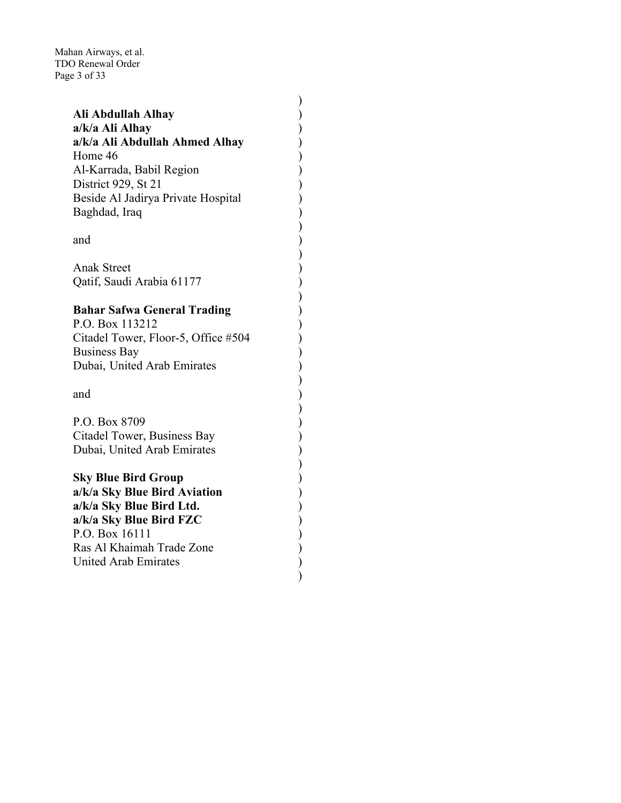Mahan Airways, et al. TDO Renewal Order Page 3 of 33

| Ali Abdullah Alhay                  |  |
|-------------------------------------|--|
| a/k/a Ali Alhay                     |  |
| a/k/a Ali Abdullah Ahmed Alhay      |  |
| Home 46                             |  |
| Al-Karrada, Babil Region            |  |
| District 929, St 21                 |  |
|                                     |  |
| Beside Al Jadirya Private Hospital  |  |
| Baghdad, Iraq                       |  |
|                                     |  |
| and                                 |  |
|                                     |  |
| <b>Anak Street</b>                  |  |
| Qatif, Saudi Arabia 61177           |  |
|                                     |  |
| <b>Bahar Safwa General Trading</b>  |  |
| P.O. Box 113212                     |  |
| Citadel Tower, Floor-5, Office #504 |  |
| <b>Business Bay</b>                 |  |
| Dubai, United Arab Emirates         |  |
|                                     |  |
| and                                 |  |
|                                     |  |
|                                     |  |
| P.O. Box 8709                       |  |
| Citadel Tower, Business Bay         |  |
| Dubai, United Arab Emirates         |  |
|                                     |  |
| <b>Sky Blue Bird Group</b>          |  |
| a/k/a Sky Blue Bird Aviation        |  |
| a/k/a Sky Blue Bird Ltd.            |  |
| a/k/a Sky Blue Bird FZC             |  |
| P.O. Box 16111                      |  |
| Ras Al Khaimah Trade Zone           |  |
| <b>United Arab Emirates</b>         |  |
|                                     |  |
|                                     |  |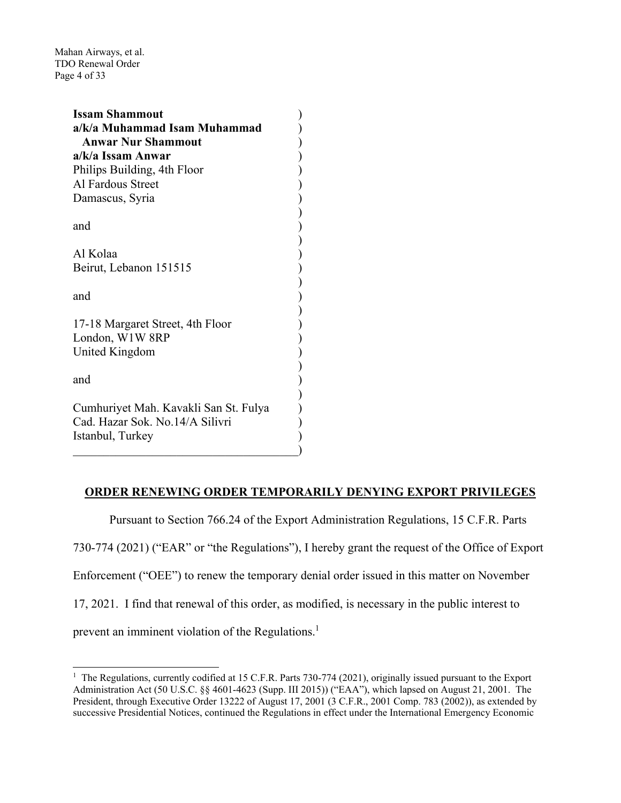Mahan Airways, et al. TDO Renewal Order Page 4 of 33

| <b>Issam Shammout</b>                 |  |
|---------------------------------------|--|
| a/k/a Muhammad Isam Muhammad          |  |
| <b>Anwar Nur Shammout</b>             |  |
| a/k/a Issam Anwar                     |  |
| Philips Building, 4th Floor           |  |
| Al Fardous Street                     |  |
| Damascus, Syria                       |  |
|                                       |  |
| and                                   |  |
|                                       |  |
| Al Kolaa                              |  |
| Beirut, Lebanon 151515                |  |
|                                       |  |
| and                                   |  |
|                                       |  |
| 17-18 Margaret Street, 4th Floor      |  |
| London, W1W 8RP                       |  |
| United Kingdom                        |  |
|                                       |  |
| and                                   |  |
|                                       |  |
| Cumhuriyet Mah. Kavakli San St. Fulya |  |
| Cad. Hazar Sok. No.14/A Silivri       |  |
| Istanbul, Turkey                      |  |
|                                       |  |
|                                       |  |

### **ORDER RENEWING ORDER TEMPORARILY DENYING EXPORT PRIVILEGES**

 Pursuant to Section 766.24 of the Export Administration Regulations, 15 C.F.R. Parts 730-774 (2021) ("EAR" or "the Regulations"), I hereby grant the request of the Office of Export Enforcement ("OEE") to renew the temporary denial order issued in this matter on November 17, 2021. I find that renewal of this order, as modified, is necessary in the public interest to prevent an imminent violation of the Regulations.<sup>1</sup>

<sup>&</sup>lt;sup>1</sup> The Regulations, currently codified at 15 C.F.R. Parts 730-774 (2021), originally issued pursuant to the Export Administration Act (50 U.S.C. §§ 4601-4623 (Supp. III 2015)) ("EAA"), which lapsed on August 21, 2001. The President, through Executive Order 13222 of August 17, 2001 (3 C.F.R., 2001 Comp. 783 (2002)), as extended by successive Presidential Notices, continued the Regulations in effect under the International Emergency Economic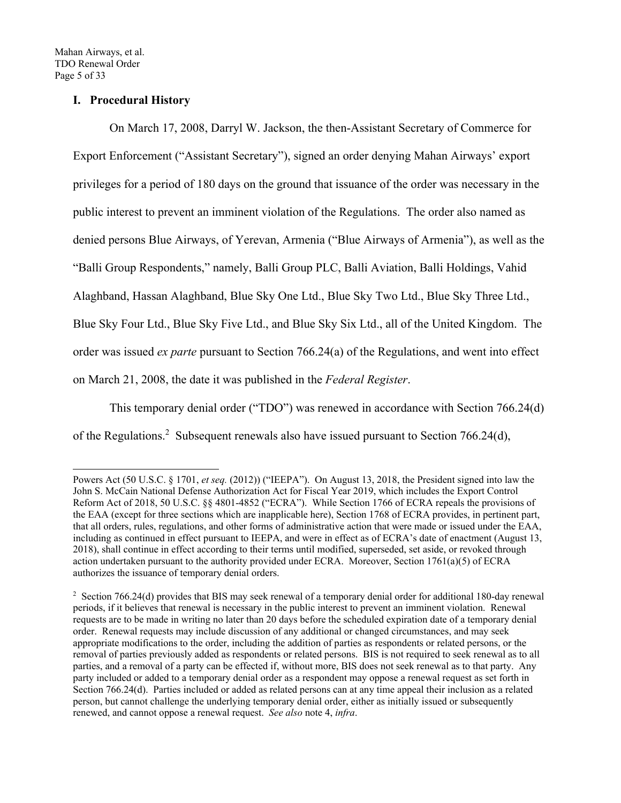# **I. Procedural History**

 On March 17, 2008, Darryl W. Jackson, the then-Assistant Secretary of Commerce for Export Enforcement ("Assistant Secretary"), signed an order denying Mahan Airways' export privileges for a period of 180 days on the ground that issuance of the order was necessary in the public interest to prevent an imminent violation of the Regulations. The order also named as denied persons Blue Airways, of Yerevan, Armenia ("Blue Airways of Armenia"), as well as the "Balli Group Respondents," namely, Balli Group PLC, Balli Aviation, Balli Holdings, Vahid Alaghband, Hassan Alaghband, Blue Sky One Ltd., Blue Sky Two Ltd., Blue Sky Three Ltd., Blue Sky Four Ltd., Blue Sky Five Ltd., and Blue Sky Six Ltd., all of the United Kingdom. The order was issued *ex parte* pursuant to Section 766.24(a) of the Regulations, and went into effect on March 21, 2008, the date it was published in the *Federal Register*.

This temporary denial order ("TDO") was renewed in accordance with Section 766.24(d) of the Regulations.<sup>2</sup> Subsequent renewals also have issued pursuant to Section 766.24(d),

Powers Act (50 U.S.C. § 1701, *et seq.* (2012)) ("IEEPA"). On August 13, 2018, the President signed into law the John S. McCain National Defense Authorization Act for Fiscal Year 2019, which includes the Export Control Reform Act of 2018, 50 U.S.C. §§ 4801-4852 ("ECRA"). While Section 1766 of ECRA repeals the provisions of the EAA (except for three sections which are inapplicable here), Section 1768 of ECRA provides, in pertinent part, that all orders, rules, regulations, and other forms of administrative action that were made or issued under the EAA, including as continued in effect pursuant to IEEPA, and were in effect as of ECRA's date of enactment (August 13, 2018), shall continue in effect according to their terms until modified, superseded, set aside, or revoked through action undertaken pursuant to the authority provided under ECRA. Moreover, Section 1761(a)(5) of ECRA authorizes the issuance of temporary denial orders.

<sup>&</sup>lt;sup>2</sup> Section 766.24(d) provides that BIS may seek renewal of a temporary denial order for additional 180-day renewal periods, if it believes that renewal is necessary in the public interest to prevent an imminent violation. Renewal requests are to be made in writing no later than 20 days before the scheduled expiration date of a temporary denial order. Renewal requests may include discussion of any additional or changed circumstances, and may seek appropriate modifications to the order, including the addition of parties as respondents or related persons, or the removal of parties previously added as respondents or related persons. BIS is not required to seek renewal as to all parties, and a removal of a party can be effected if, without more, BIS does not seek renewal as to that party. Any party included or added to a temporary denial order as a respondent may oppose a renewal request as set forth in Section 766.24(d). Parties included or added as related persons can at any time appeal their inclusion as a related person, but cannot challenge the underlying temporary denial order, either as initially issued or subsequently renewed, and cannot oppose a renewal request. *See also* note 4, *infra*.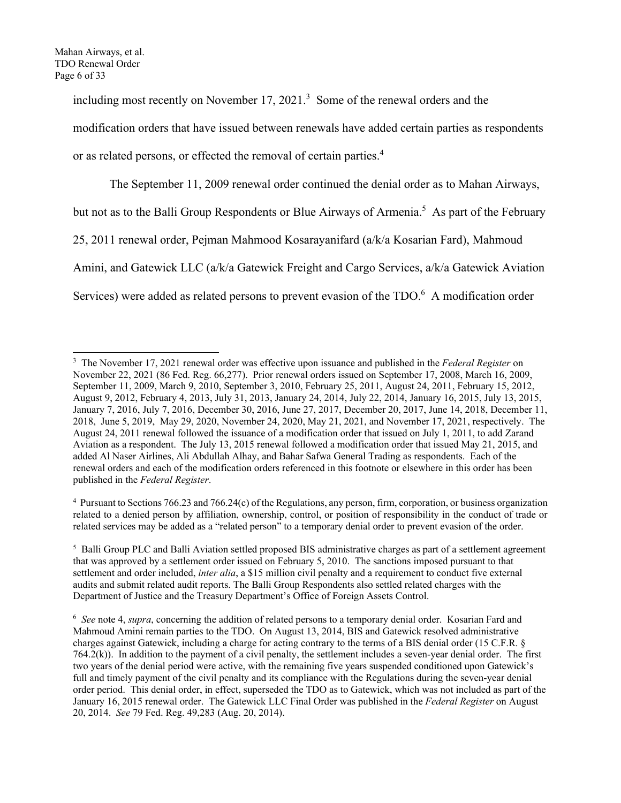including most recently on November  $17, 2021$ <sup>3</sup> Some of the renewal orders and the modification orders that have issued between renewals have added certain parties as respondents or as related persons, or effected the removal of certain parties.<sup>4</sup>

The September 11, 2009 renewal order continued the denial order as to Mahan Airways, but not as to the Balli Group Respondents or Blue Airways of Armenia.<sup>5</sup> As part of the February 25, 2011 renewal order, Pejman Mahmood Kosarayanifard (a/k/a Kosarian Fard), Mahmoud Amini, and Gatewick LLC (a/k/a Gatewick Freight and Cargo Services, a/k/a Gatewick Aviation Services) were added as related persons to prevent evasion of the TDO.<sup>6</sup> A modification order

4 Pursuant to Sections 766.23 and 766.24(c) of the Regulations, any person, firm, corporation, or business organization related to a denied person by affiliation, ownership, control, or position of responsibility in the conduct of trade or related services may be added as a "related person" to a temporary denial order to prevent evasion of the order.

<sup>3</sup> The November 17, 2021 renewal order was effective upon issuance and published in the *Federal Register* on November 22, 2021 (86 Fed. Reg. 66,277). Prior renewal orders issued on September 17, 2008, March 16, 2009, September 11, 2009, March 9, 2010, September 3, 2010, February 25, 2011, August 24, 2011, February 15, 2012, August 9, 2012, February 4, 2013, July 31, 2013, January 24, 2014, July 22, 2014, January 16, 2015, July 13, 2015, January 7, 2016, July 7, 2016, December 30, 2016, June 27, 2017, December 20, 2017, June 14, 2018, December 11, 2018, June 5, 2019, May 29, 2020, November 24, 2020, May 21, 2021, and November 17, 2021, respectively. The August 24, 2011 renewal followed the issuance of a modification order that issued on July 1, 2011, to add Zarand Aviation as a respondent. The July 13, 2015 renewal followed a modification order that issued May 21, 2015, and added Al Naser Airlines, Ali Abdullah Alhay, and Bahar Safwa General Trading as respondents. Each of the renewal orders and each of the modification orders referenced in this footnote or elsewhere in this order has been published in the *Federal Register*.

<sup>&</sup>lt;sup>5</sup> Balli Group PLC and Balli Aviation settled proposed BIS administrative charges as part of a settlement agreement that was approved by a settlement order issued on February 5, 2010. The sanctions imposed pursuant to that settlement and order included, *inter alia*, a \$15 million civil penalty and a requirement to conduct five external audits and submit related audit reports. The Balli Group Respondents also settled related charges with the Department of Justice and the Treasury Department's Office of Foreign Assets Control.

<sup>6</sup> *See* note 4, *supra*, concerning the addition of related persons to a temporary denial order. Kosarian Fard and Mahmoud Amini remain parties to the TDO. On August 13, 2014, BIS and Gatewick resolved administrative charges against Gatewick, including a charge for acting contrary to the terms of a BIS denial order (15 C.F.R. § 764.2(k)). In addition to the payment of a civil penalty, the settlement includes a seven-year denial order. The first two years of the denial period were active, with the remaining five years suspended conditioned upon Gatewick's full and timely payment of the civil penalty and its compliance with the Regulations during the seven-year denial order period. This denial order, in effect, superseded the TDO as to Gatewick, which was not included as part of the January 16, 2015 renewal order. The Gatewick LLC Final Order was published in the *Federal Register* on August 20, 2014. *See* 79 Fed. Reg. 49,283 (Aug. 20, 2014).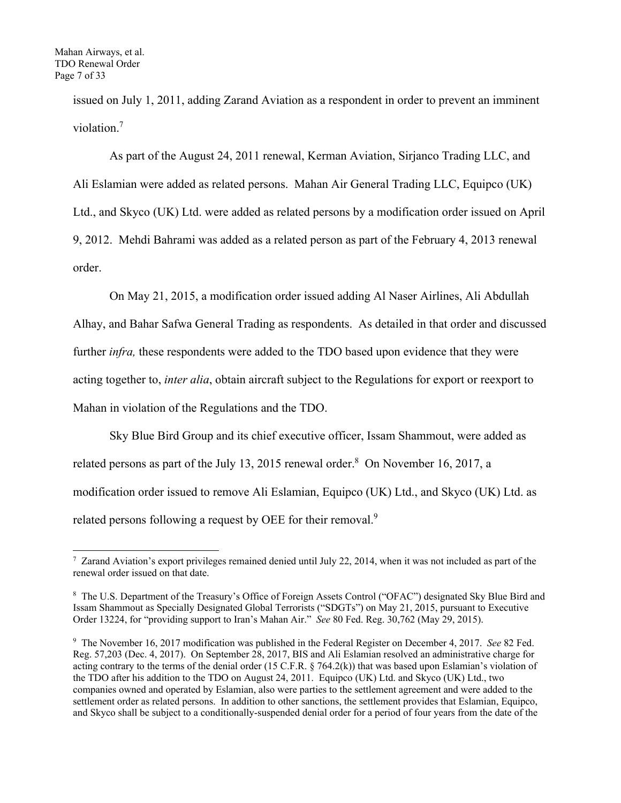issued on July 1, 2011, adding Zarand Aviation as a respondent in order to prevent an imminent violation.<sup>7</sup>

As part of the August 24, 2011 renewal, Kerman Aviation, Sirjanco Trading LLC, and Ali Eslamian were added as related persons. Mahan Air General Trading LLC, Equipco (UK) Ltd., and Skyco (UK) Ltd. were added as related persons by a modification order issued on April 9, 2012. Mehdi Bahrami was added as a related person as part of the February 4, 2013 renewal order.

On May 21, 2015, a modification order issued adding Al Naser Airlines, Ali Abdullah Alhay, and Bahar Safwa General Trading as respondents. As detailed in that order and discussed further *infra*, these respondents were added to the TDO based upon evidence that they were acting together to, *inter alia*, obtain aircraft subject to the Regulations for export or reexport to Mahan in violation of the Regulations and the TDO.

 Sky Blue Bird Group and its chief executive officer, Issam Shammout, were added as related persons as part of the July 13, 2015 renewal order. $8$  On November 16, 2017, a modification order issued to remove Ali Eslamian, Equipco (UK) Ltd., and Skyco (UK) Ltd. as related persons following a request by OEE for their removal.<sup>9</sup>

<sup>&</sup>lt;sup>7</sup> Zarand Aviation's export privileges remained denied until July 22, 2014, when it was not included as part of the renewal order issued on that date.

<sup>&</sup>lt;sup>8</sup> The U.S. Department of the Treasury's Office of Foreign Assets Control ("OFAC") designated Sky Blue Bird and Issam Shammout as Specially Designated Global Terrorists ("SDGTs") on May 21, 2015, pursuant to Executive Order 13224, for "providing support to Iran's Mahan Air." *See* 80 Fed. Reg. 30,762 (May 29, 2015).

<sup>9</sup> The November 16, 2017 modification was published in the Federal Register on December 4, 2017. *See* 82 Fed. Reg. 57,203 (Dec. 4, 2017). On September 28, 2017, BIS and Ali Eslamian resolved an administrative charge for acting contrary to the terms of the denial order (15 C.F.R. § 764.2(k)) that was based upon Eslamian's violation of the TDO after his addition to the TDO on August 24, 2011. Equipco (UK) Ltd. and Skyco (UK) Ltd., two companies owned and operated by Eslamian, also were parties to the settlement agreement and were added to the settlement order as related persons. In addition to other sanctions, the settlement provides that Eslamian, Equipco, and Skyco shall be subject to a conditionally-suspended denial order for a period of four years from the date of the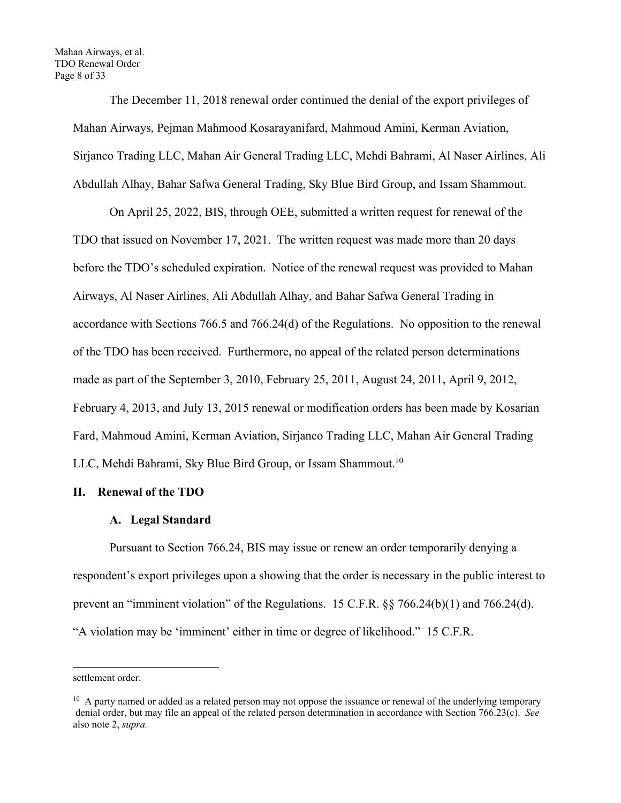The December 11, 2018 renewal order continued the denial of the export privileges of Mahan Airways, Pejman Mahmood Kosarayanifard, Mahmoud Amini, Kerman Aviation, Sirjanco Trading LLC, Mahan Air General Trading LLC, Mehdi Bahrami, Al Naser Airlines, Ali Abdullah Alhay, Bahar Safwa General Trading, Sky Blue Bird Group, and Issam Shammout.

On April 25, 2022, BIS, through OEE, submitted a written request for renewal of the TDO that issued on November 17, 2021. The written request was made more than 20 days before the TDO's scheduled expiration. Notice of the renewal request was provided to Mahan Airways, Al Naser Airlines, Ali Abdullah Alhay, and Bahar Safwa General Trading in accordance with Sections 766.5 and 766.24(d) of the Regulations. No opposition to the renewal of the TDO has been received. Furthermore, no appeal of the related person determinations made as part of the September 3, 2010, February 25, 2011, August 24, 2011, April 9, 2012, February 4, 2013, and July 13, 2015 renewal or modification orders has been made by Kosarian Fard, Mahmoud Amini, Kerman Aviation, Sirjanco Trading LLC, Mahan Air General Trading LLC, Mehdi Bahrami, Sky Blue Bird Group, or Issam Shammout.<sup>10</sup>

### **II. Renewal of the TDO**

#### **A. Legal Standard**

Pursuant to Section 766.24, BIS may issue or renew an order temporarily denying a respondent's export privileges upon a showing that the order is necessary in the public interest to prevent an "imminent violation" of the Regulations. 15 C.F.R. §§ 766.24(b)(1) and 766.24(d). "A violation may be 'imminent' either in time or degree of likelihood." 15 C.F.R.

settlement order.

 $10$  A party named or added as a related person may not oppose the issuance or renewal of the underlying temporary denial order, but may file an appeal of the related person determination in accordance with Section 766.23(c). *See*  also note 2, *supra.*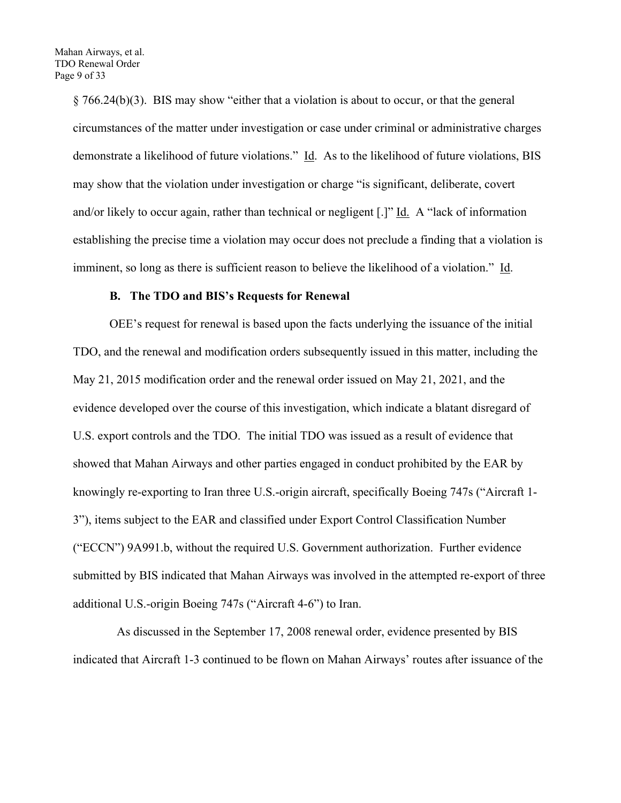§ 766.24(b)(3). BIS may show "either that a violation is about to occur, or that the general circumstances of the matter under investigation or case under criminal or administrative charges demonstrate a likelihood of future violations." Id. As to the likelihood of future violations, BIS may show that the violation under investigation or charge "is significant, deliberate, covert and/or likely to occur again, rather than technical or negligent [.]" Id. A "lack of information establishing the precise time a violation may occur does not preclude a finding that a violation is imminent, so long as there is sufficient reason to believe the likelihood of a violation." Id.

#### **B. The TDO and BIS's Requests for Renewal**

OEE's request for renewal is based upon the facts underlying the issuance of the initial TDO, and the renewal and modification orders subsequently issued in this matter, including the May 21, 2015 modification order and the renewal order issued on May 21, 2021, and the evidence developed over the course of this investigation, which indicate a blatant disregard of U.S. export controls and the TDO. The initial TDO was issued as a result of evidence that showed that Mahan Airways and other parties engaged in conduct prohibited by the EAR by knowingly re-exporting to Iran three U.S.-origin aircraft, specifically Boeing 747s ("Aircraft 1- 3"), items subject to the EAR and classified under Export Control Classification Number ("ECCN") 9A991.b, without the required U.S. Government authorization. Further evidence submitted by BIS indicated that Mahan Airways was involved in the attempted re-export of three additional U.S.-origin Boeing 747s ("Aircraft 4-6") to Iran.

 As discussed in the September 17, 2008 renewal order, evidence presented by BIS indicated that Aircraft 1-3 continued to be flown on Mahan Airways' routes after issuance of the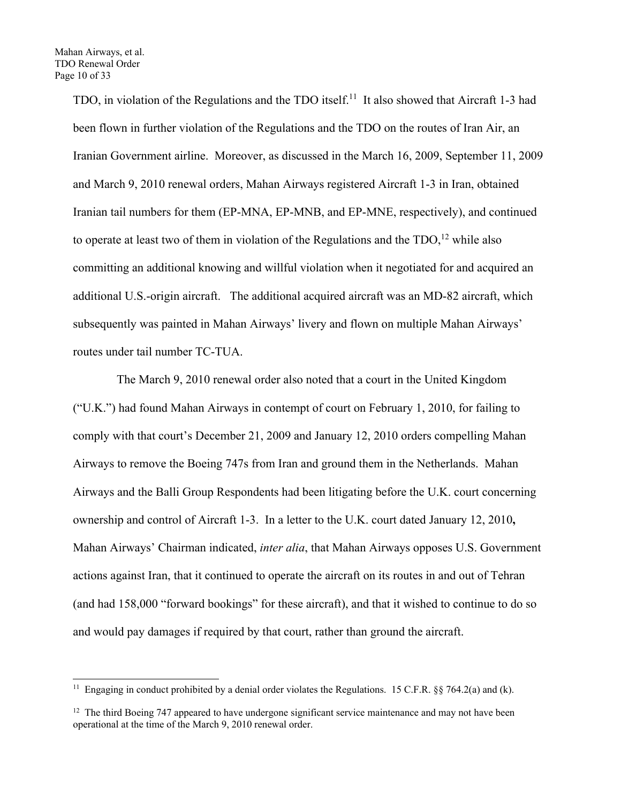TDO, in violation of the Regulations and the TDO itself.<sup>11</sup> It also showed that Aircraft 1-3 had been flown in further violation of the Regulations and the TDO on the routes of Iran Air, an Iranian Government airline. Moreover, as discussed in the March 16, 2009, September 11, 2009 and March 9, 2010 renewal orders, Mahan Airways registered Aircraft 1-3 in Iran, obtained Iranian tail numbers for them (EP-MNA, EP-MNB, and EP-MNE, respectively), and continued to operate at least two of them in violation of the Regulations and the  $TDO$ ,<sup>12</sup> while also committing an additional knowing and willful violation when it negotiated for and acquired an additional U.S.-origin aircraft. The additional acquired aircraft was an MD-82 aircraft, which subsequently was painted in Mahan Airways' livery and flown on multiple Mahan Airways' routes under tail number TC-TUA.

 The March 9, 2010 renewal order also noted that a court in the United Kingdom ("U.K.") had found Mahan Airways in contempt of court on February 1, 2010, for failing to comply with that court's December 21, 2009 and January 12, 2010 orders compelling Mahan Airways to remove the Boeing 747s from Iran and ground them in the Netherlands. Mahan Airways and the Balli Group Respondents had been litigating before the U.K. court concerning ownership and control of Aircraft 1-3. In a letter to the U.K. court dated January 12, 2010**,**  Mahan Airways' Chairman indicated, *inter alia*, that Mahan Airways opposes U.S. Government actions against Iran, that it continued to operate the aircraft on its routes in and out of Tehran (and had 158,000 "forward bookings" for these aircraft), and that it wished to continue to do so and would pay damages if required by that court, rather than ground the aircraft.

<sup>&</sup>lt;sup>11</sup> Engaging in conduct prohibited by a denial order violates the Regulations. 15 C.F.R. §§ 764.2(a) and (k).

 $12$  The third Boeing 747 appeared to have undergone significant service maintenance and may not have been operational at the time of the March 9, 2010 renewal order.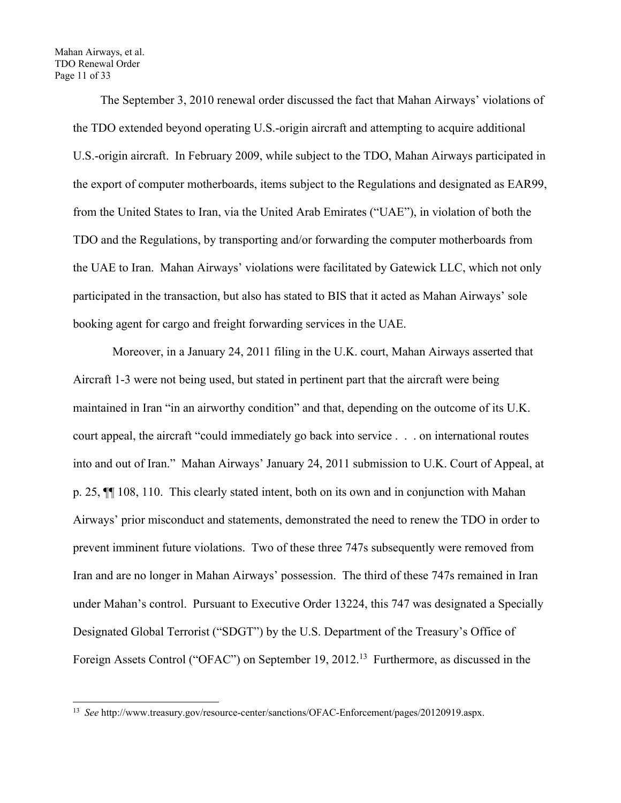Mahan Airways, et al. TDO Renewal Order Page 11 of 33

> The September 3, 2010 renewal order discussed the fact that Mahan Airways' violations of the TDO extended beyond operating U.S.-origin aircraft and attempting to acquire additional U.S.-origin aircraft. In February 2009, while subject to the TDO, Mahan Airways participated in the export of computer motherboards, items subject to the Regulations and designated as EAR99, from the United States to Iran, via the United Arab Emirates ("UAE"), in violation of both the TDO and the Regulations, by transporting and/or forwarding the computer motherboards from the UAE to Iran. Mahan Airways' violations were facilitated by Gatewick LLC, which not only participated in the transaction, but also has stated to BIS that it acted as Mahan Airways' sole booking agent for cargo and freight forwarding services in the UAE.

> Moreover, in a January 24, 2011 filing in the U.K. court, Mahan Airways asserted that Aircraft 1-3 were not being used, but stated in pertinent part that the aircraft were being maintained in Iran "in an airworthy condition" and that, depending on the outcome of its U.K. court appeal, the aircraft "could immediately go back into service . . . on international routes into and out of Iran." Mahan Airways' January 24, 2011 submission to U.K. Court of Appeal, at p. 25, ¶¶ 108, 110. This clearly stated intent, both on its own and in conjunction with Mahan Airways' prior misconduct and statements, demonstrated the need to renew the TDO in order to prevent imminent future violations. Two of these three 747s subsequently were removed from Iran and are no longer in Mahan Airways' possession. The third of these 747s remained in Iran under Mahan's control. Pursuant to Executive Order 13224, this 747 was designated a Specially Designated Global Terrorist ("SDGT") by the U.S. Department of the Treasury's Office of Foreign Assets Control ("OFAC") on September 19, 2012.<sup>13</sup> Furthermore, as discussed in the

<sup>13</sup> *See* http://www.treasury.gov/resource-center/sanctions/OFAC-Enforcement/pages/20120919.aspx.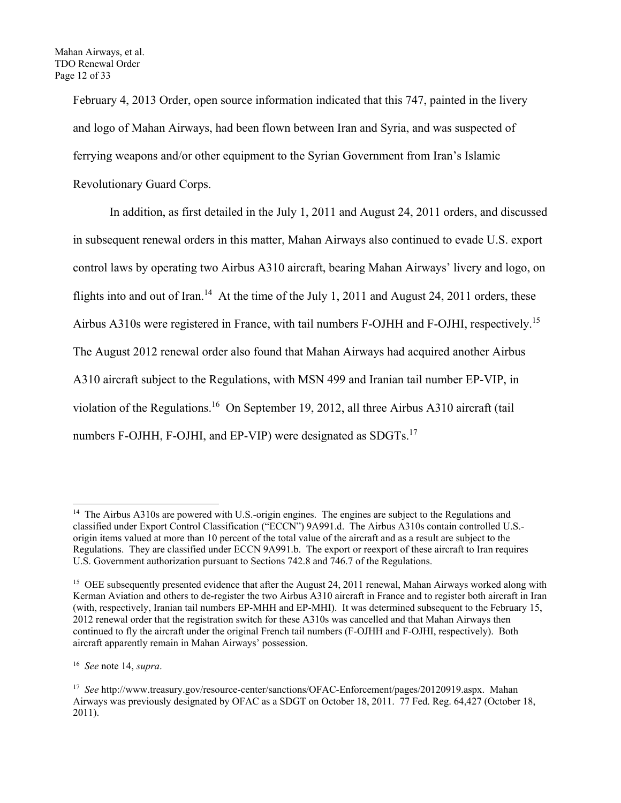February 4, 2013 Order, open source information indicated that this 747, painted in the livery and logo of Mahan Airways, had been flown between Iran and Syria, and was suspected of ferrying weapons and/or other equipment to the Syrian Government from Iran's Islamic Revolutionary Guard Corps.

 In addition, as first detailed in the July 1, 2011 and August 24, 2011 orders, and discussed in subsequent renewal orders in this matter, Mahan Airways also continued to evade U.S. export control laws by operating two Airbus A310 aircraft, bearing Mahan Airways' livery and logo, on flights into and out of Iran.<sup>14</sup> At the time of the July 1, 2011 and August 24, 2011 orders, these Airbus A310s were registered in France, with tail numbers F-OJHH and F-OJHI, respectively.15 The August 2012 renewal order also found that Mahan Airways had acquired another Airbus A310 aircraft subject to the Regulations, with MSN 499 and Iranian tail number EP-VIP, in violation of the Regulations.<sup>16</sup> On September 19, 2012, all three Airbus A310 aircraft (tail numbers F-OJHH, F-OJHI, and EP-VIP) were designated as SDGTs.<sup>17</sup>

<sup>&</sup>lt;sup>14</sup> The Airbus A310s are powered with U.S.-origin engines. The engines are subject to the Regulations and classified under Export Control Classification ("ECCN") 9A991.d. The Airbus A310s contain controlled U.S. origin items valued at more than 10 percent of the total value of the aircraft and as a result are subject to the Regulations. They are classified under ECCN 9A991.b. The export or reexport of these aircraft to Iran requires U.S. Government authorization pursuant to Sections 742.8 and 746.7 of the Regulations.

<sup>&</sup>lt;sup>15</sup> OEE subsequently presented evidence that after the August 24, 2011 renewal, Mahan Airways worked along with Kerman Aviation and others to de-register the two Airbus A310 aircraft in France and to register both aircraft in Iran (with, respectively, Iranian tail numbers EP-MHH and EP-MHI). It was determined subsequent to the February 15, 2012 renewal order that the registration switch for these A310s was cancelled and that Mahan Airways then continued to fly the aircraft under the original French tail numbers (F-OJHH and F-OJHI, respectively). Both aircraft apparently remain in Mahan Airways' possession.

<sup>16</sup> *See* note 14, *supra*.

<sup>17</sup> *See* http://www.treasury.gov/resource-center/sanctions/OFAC-Enforcement/pages/20120919.aspx. Mahan Airways was previously designated by OFAC as a SDGT on October 18, 2011. 77 Fed. Reg. 64,427 (October 18, 2011).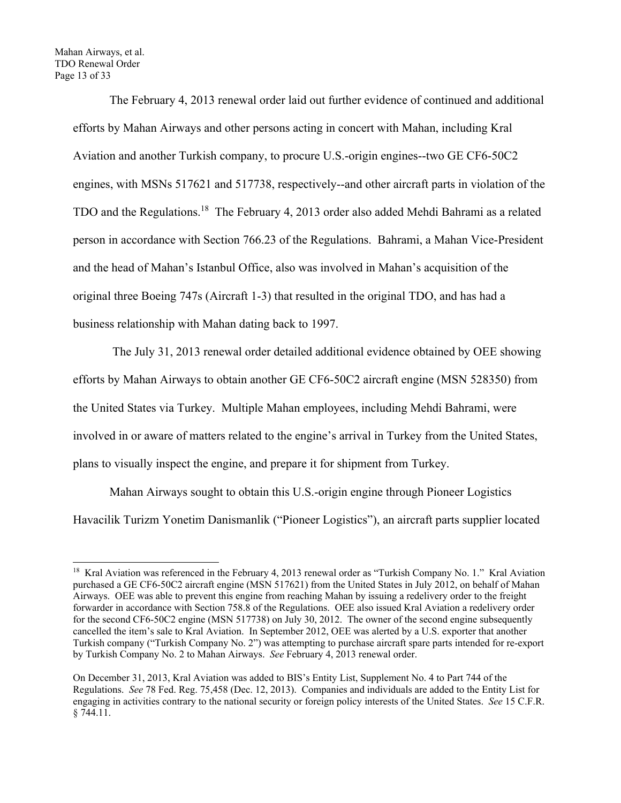Mahan Airways, et al. TDO Renewal Order Page 13 of 33

> The February 4, 2013 renewal order laid out further evidence of continued and additional efforts by Mahan Airways and other persons acting in concert with Mahan, including Kral Aviation and another Turkish company, to procure U.S.-origin engines--two GE CF6-50C2 engines, with MSNs 517621 and 517738, respectively--and other aircraft parts in violation of the TDO and the Regulations.<sup>18</sup> The February 4, 2013 order also added Mehdi Bahrami as a related person in accordance with Section 766.23 of the Regulations. Bahrami, a Mahan Vice-President and the head of Mahan's Istanbul Office, also was involved in Mahan's acquisition of the original three Boeing 747s (Aircraft 1-3) that resulted in the original TDO, and has had a business relationship with Mahan dating back to 1997.

> The July 31, 2013 renewal order detailed additional evidence obtained by OEE showing efforts by Mahan Airways to obtain another GE CF6-50C2 aircraft engine (MSN 528350) from the United States via Turkey. Multiple Mahan employees, including Mehdi Bahrami, were involved in or aware of matters related to the engine's arrival in Turkey from the United States, plans to visually inspect the engine, and prepare it for shipment from Turkey.

> Mahan Airways sought to obtain this U.S.-origin engine through Pioneer Logistics Havacilik Turizm Yonetim Danismanlik ("Pioneer Logistics"), an aircraft parts supplier located

<sup>&</sup>lt;sup>18</sup> Kral Aviation was referenced in the February 4, 2013 renewal order as "Turkish Company No. 1." Kral Aviation purchased a GE CF6-50C2 aircraft engine (MSN 517621) from the United States in July 2012, on behalf of Mahan Airways. OEE was able to prevent this engine from reaching Mahan by issuing a redelivery order to the freight forwarder in accordance with Section 758.8 of the Regulations. OEE also issued Kral Aviation a redelivery order for the second CF6-50C2 engine (MSN 517738) on July 30, 2012. The owner of the second engine subsequently cancelled the item's sale to Kral Aviation. In September 2012, OEE was alerted by a U.S. exporter that another Turkish company ("Turkish Company No. 2") was attempting to purchase aircraft spare parts intended for re-export by Turkish Company No. 2 to Mahan Airways. *See* February 4, 2013 renewal order.

On December 31, 2013, Kral Aviation was added to BIS's Entity List, Supplement No. 4 to Part 744 of the Regulations. *See* 78 Fed. Reg. 75,458 (Dec. 12, 2013). Companies and individuals are added to the Entity List for engaging in activities contrary to the national security or foreign policy interests of the United States. *See* 15 C.F.R. § 744.11.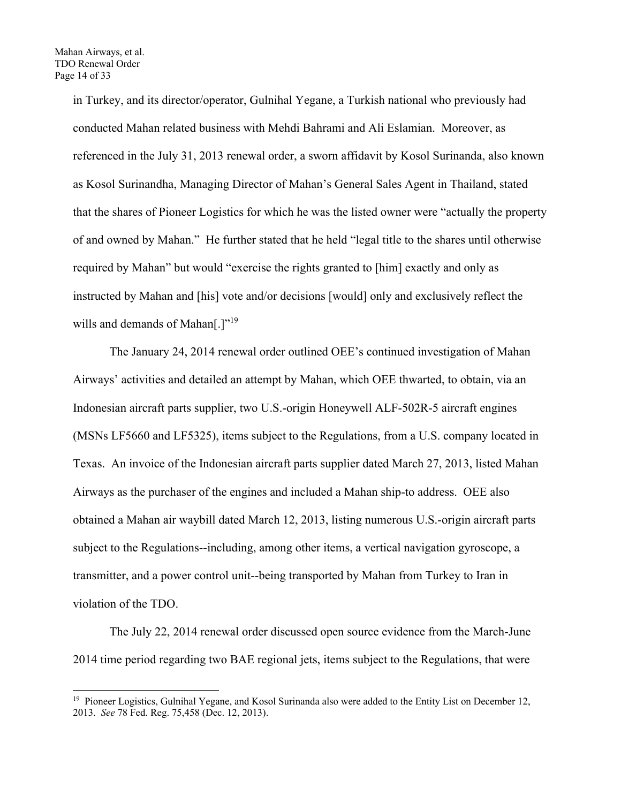in Turkey, and its director/operator, Gulnihal Yegane, a Turkish national who previously had conducted Mahan related business with Mehdi Bahrami and Ali Eslamian. Moreover, as referenced in the July 31, 2013 renewal order, a sworn affidavit by Kosol Surinanda, also known as Kosol Surinandha, Managing Director of Mahan's General Sales Agent in Thailand, stated that the shares of Pioneer Logistics for which he was the listed owner were "actually the property of and owned by Mahan." He further stated that he held "legal title to the shares until otherwise required by Mahan" but would "exercise the rights granted to [him] exactly and only as instructed by Mahan and [his] vote and/or decisions [would] only and exclusively reflect the wills and demands of Mahan[.]"<sup>19</sup>

The January 24, 2014 renewal order outlined OEE's continued investigation of Mahan Airways' activities and detailed an attempt by Mahan, which OEE thwarted, to obtain, via an Indonesian aircraft parts supplier, two U.S.-origin Honeywell ALF-502R-5 aircraft engines (MSNs LF5660 and LF5325), items subject to the Regulations, from a U.S. company located in Texas. An invoice of the Indonesian aircraft parts supplier dated March 27, 2013, listed Mahan Airways as the purchaser of the engines and included a Mahan ship-to address. OEE also obtained a Mahan air waybill dated March 12, 2013, listing numerous U.S.-origin aircraft parts subject to the Regulations--including, among other items, a vertical navigation gyroscope, a transmitter, and a power control unit--being transported by Mahan from Turkey to Iran in violation of the TDO.

The July 22, 2014 renewal order discussed open source evidence from the March-June 2014 time period regarding two BAE regional jets, items subject to the Regulations, that were

<sup>&</sup>lt;sup>19</sup> Pioneer Logistics, Gulnihal Yegane, and Kosol Surinanda also were added to the Entity List on December 12, 2013. *See* 78 Fed. Reg. 75,458 (Dec. 12, 2013).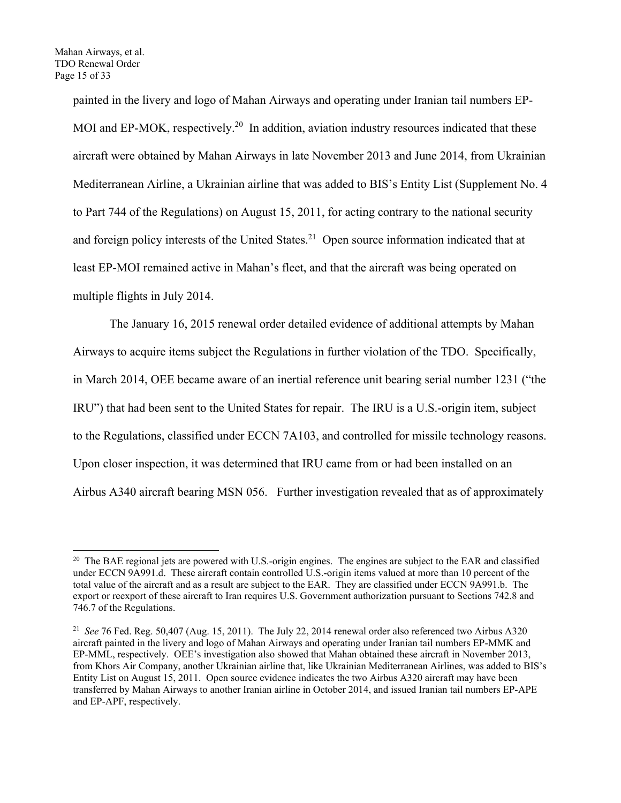painted in the livery and logo of Mahan Airways and operating under Iranian tail numbers EP-MOI and EP-MOK, respectively.<sup>20</sup> In addition, aviation industry resources indicated that these aircraft were obtained by Mahan Airways in late November 2013 and June 2014, from Ukrainian Mediterranean Airline, a Ukrainian airline that was added to BIS's Entity List (Supplement No. 4 to Part 744 of the Regulations) on August 15, 2011, for acting contrary to the national security and foreign policy interests of the United States.<sup>21</sup> Open source information indicated that at least EP-MOI remained active in Mahan's fleet, and that the aircraft was being operated on multiple flights in July 2014.

The January 16, 2015 renewal order detailed evidence of additional attempts by Mahan Airways to acquire items subject the Regulations in further violation of the TDO. Specifically, in March 2014, OEE became aware of an inertial reference unit bearing serial number 1231 ("the IRU") that had been sent to the United States for repair. The IRU is a U.S.-origin item, subject to the Regulations, classified under ECCN 7A103, and controlled for missile technology reasons. Upon closer inspection, it was determined that IRU came from or had been installed on an Airbus A340 aircraft bearing MSN 056. Further investigation revealed that as of approximately

<sup>&</sup>lt;sup>20</sup> The BAE regional jets are powered with U.S.-origin engines. The engines are subject to the EAR and classified under ECCN 9A991.d. These aircraft contain controlled U.S.-origin items valued at more than 10 percent of the total value of the aircraft and as a result are subject to the EAR. They are classified under ECCN 9A991.b. The export or reexport of these aircraft to Iran requires U.S. Government authorization pursuant to Sections 742.8 and 746.7 of the Regulations.

<sup>21</sup> *See* 76 Fed. Reg. 50,407 (Aug. 15, 2011). The July 22, 2014 renewal order also referenced two Airbus A320 aircraft painted in the livery and logo of Mahan Airways and operating under Iranian tail numbers EP-MMK and EP-MML, respectively. OEE's investigation also showed that Mahan obtained these aircraft in November 2013, from Khors Air Company, another Ukrainian airline that, like Ukrainian Mediterranean Airlines, was added to BIS's Entity List on August 15, 2011. Open source evidence indicates the two Airbus A320 aircraft may have been transferred by Mahan Airways to another Iranian airline in October 2014, and issued Iranian tail numbers EP-APE and EP-APF, respectively.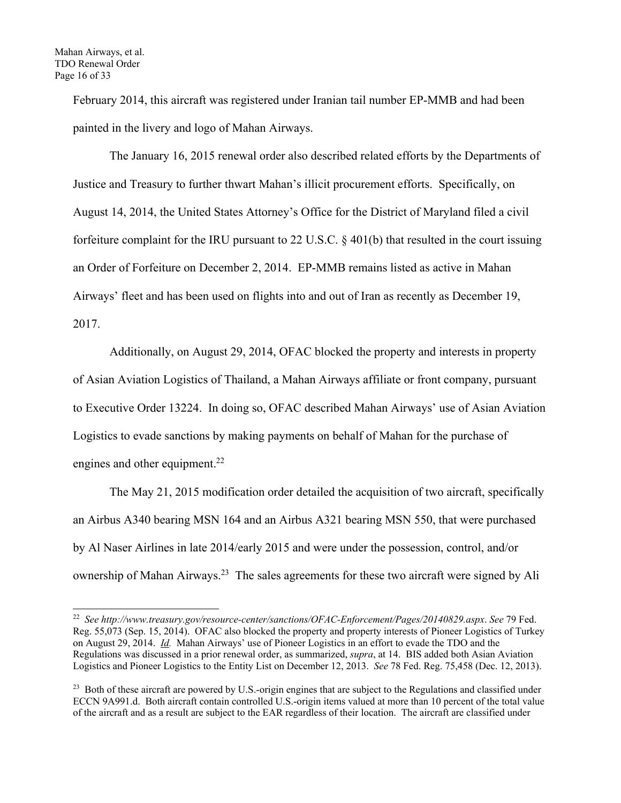February 2014, this aircraft was registered under Iranian tail number EP-MMB and had been painted in the livery and logo of Mahan Airways.

The January 16, 2015 renewal order also described related efforts by the Departments of Justice and Treasury to further thwart Mahan's illicit procurement efforts. Specifically, on August 14, 2014, the United States Attorney's Office for the District of Maryland filed a civil forfeiture complaint for the IRU pursuant to 22 U.S.C. § 401(b) that resulted in the court issuing an Order of Forfeiture on December 2, 2014. EP-MMB remains listed as active in Mahan Airways' fleet and has been used on flights into and out of Iran as recently as December 19, 2017.

Additionally, on August 29, 2014, OFAC blocked the property and interests in property of Asian Aviation Logistics of Thailand, a Mahan Airways affiliate or front company, pursuant to Executive Order 13224. In doing so, OFAC described Mahan Airways' use of Asian Aviation Logistics to evade sanctions by making payments on behalf of Mahan for the purchase of engines and other equipment.<sup>22</sup>

 The May 21, 2015 modification order detailed the acquisition of two aircraft, specifically an Airbus A340 bearing MSN 164 and an Airbus A321 bearing MSN 550, that were purchased by Al Naser Airlines in late 2014/early 2015 and were under the possession, control, and/or ownership of Mahan Airways.<sup>23</sup> The sales agreements for these two aircraft were signed by Ali

<sup>22</sup> *See http://www.treasury.gov/resource-center/sanctions/OFAC-Enforcement/Pages/20140829.aspx*. *See* 79 Fed. Reg. 55,073 (Sep. 15, 2014). OFAC also blocked the property and property interests of Pioneer Logistics of Turkey on August 29, 2014. *Id.* Mahan Airways' use of Pioneer Logistics in an effort to evade the TDO and the Regulations was discussed in a prior renewal order, as summarized, *supra*, at 14. BIS added both Asian Aviation Logistics and Pioneer Logistics to the Entity List on December 12, 2013. *See* 78 Fed. Reg. 75,458 (Dec. 12, 2013).

<sup>&</sup>lt;sup>23</sup> Both of these aircraft are powered by U.S.-origin engines that are subject to the Regulations and classified under ECCN 9A991.d. Both aircraft contain controlled U.S.-origin items valued at more than 10 percent of the total value of the aircraft and as a result are subject to the EAR regardless of their location. The aircraft are classified under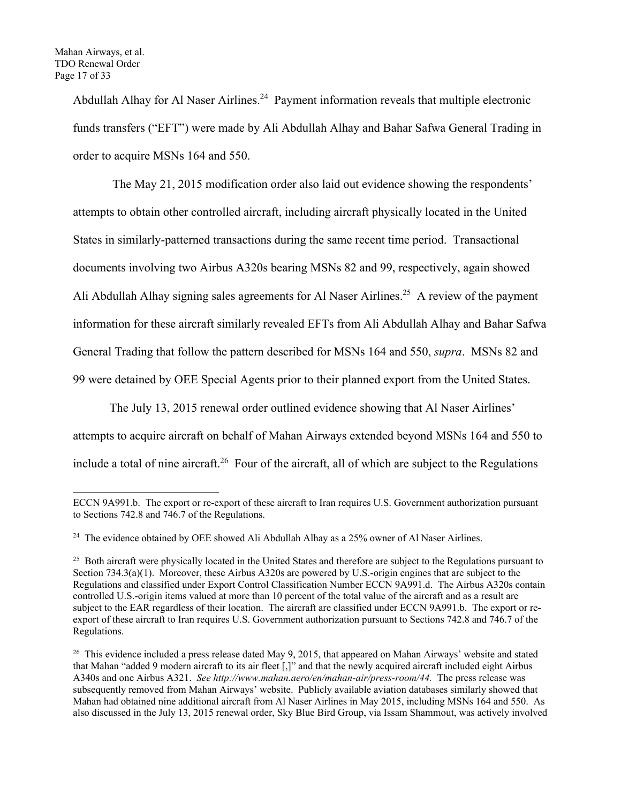Abdullah Alhay for Al Naser Airlines.<sup>24</sup> Payment information reveals that multiple electronic funds transfers ("EFT") were made by Ali Abdullah Alhay and Bahar Safwa General Trading in order to acquire MSNs 164 and 550.

 The May 21, 2015 modification order also laid out evidence showing the respondents' attempts to obtain other controlled aircraft, including aircraft physically located in the United States in similarly-patterned transactions during the same recent time period. Transactional documents involving two Airbus A320s bearing MSNs 82 and 99, respectively, again showed Ali Abdullah Alhay signing sales agreements for Al Naser Airlines.<sup>25</sup> A review of the payment information for these aircraft similarly revealed EFTs from Ali Abdullah Alhay and Bahar Safwa General Trading that follow the pattern described for MSNs 164 and 550, *supra*. MSNs 82 and 99 were detained by OEE Special Agents prior to their planned export from the United States.

The July 13, 2015 renewal order outlined evidence showing that Al Naser Airlines'

attempts to acquire aircraft on behalf of Mahan Airways extended beyond MSNs 164 and 550 to include a total of nine aircraft.<sup>26</sup> Four of the aircraft, all of which are subject to the Regulations

ECCN 9A991.b. The export or re-export of these aircraft to Iran requires U.S. Government authorization pursuant to Sections 742.8 and 746.7 of the Regulations.

 $24$  The evidence obtained by OEE showed Ali Abdullah Alhay as a 25% owner of Al Naser Airlines.

<sup>&</sup>lt;sup>25</sup> Both aircraft were physically located in the United States and therefore are subject to the Regulations pursuant to Section 734.3(a)(1). Moreover, these Airbus A320s are powered by U.S.-origin engines that are subject to the Regulations and classified under Export Control Classification Number ECCN 9A991.d. The Airbus A320s contain controlled U.S.-origin items valued at more than 10 percent of the total value of the aircraft and as a result are subject to the EAR regardless of their location. The aircraft are classified under ECCN 9A991.b. The export or reexport of these aircraft to Iran requires U.S. Government authorization pursuant to Sections 742.8 and 746.7 of the Regulations.

<sup>&</sup>lt;sup>26</sup> This evidence included a press release dated May 9, 2015, that appeared on Mahan Airways' website and stated that Mahan "added 9 modern aircraft to its air fleet [,]" and that the newly acquired aircraft included eight Airbus A340s and one Airbus A321. *See http://www.mahan.aero/en/mahan-air/press-room/44.* The press release was subsequently removed from Mahan Airways' website. Publicly available aviation databases similarly showed that Mahan had obtained nine additional aircraft from Al Naser Airlines in May 2015, including MSNs 164 and 550. As also discussed in the July 13, 2015 renewal order, Sky Blue Bird Group, via Issam Shammout, was actively involved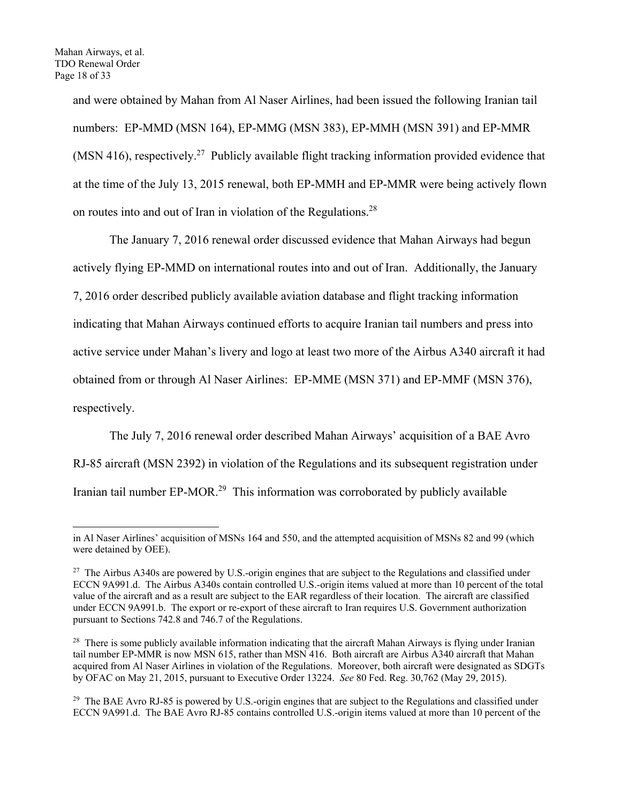and were obtained by Mahan from Al Naser Airlines, had been issued the following Iranian tail numbers: EP-MMD (MSN 164), EP-MMG (MSN 383), EP-MMH (MSN 391) and EP-MMR (MSN 416), respectively.<sup>27</sup> Publicly available flight tracking information provided evidence that at the time of the July 13, 2015 renewal, both EP-MMH and EP-MMR were being actively flown on routes into and out of Iran in violation of the Regulations.28

 The January 7, 2016 renewal order discussed evidence that Mahan Airways had begun actively flying EP-MMD on international routes into and out of Iran. Additionally, the January 7, 2016 order described publicly available aviation database and flight tracking information indicating that Mahan Airways continued efforts to acquire Iranian tail numbers and press into active service under Mahan's livery and logo at least two more of the Airbus A340 aircraft it had obtained from or through Al Naser Airlines: EP-MME (MSN 371) and EP-MMF (MSN 376), respectively.

The July 7, 2016 renewal order described Mahan Airways' acquisition of a BAE Avro RJ-85 aircraft (MSN 2392) in violation of the Regulations and its subsequent registration under Iranian tail number EP-MOR.<sup>29</sup> This information was corroborated by publicly available

in Al Naser Airlines' acquisition of MSNs 164 and 550, and the attempted acquisition of MSNs 82 and 99 (which were detained by OEE).

<sup>&</sup>lt;sup>27</sup> The Airbus A340s are powered by U.S.-origin engines that are subject to the Regulations and classified under ECCN 9A991.d. The Airbus A340s contain controlled U.S.-origin items valued at more than 10 percent of the total value of the aircraft and as a result are subject to the EAR regardless of their location. The aircraft are classified under ECCN 9A991.b. The export or re-export of these aircraft to Iran requires U.S. Government authorization pursuant to Sections 742.8 and 746.7 of the Regulations.

<sup>&</sup>lt;sup>28</sup> There is some publicly available information indicating that the aircraft Mahan Airways is flying under Iranian tail number EP-MMR is now MSN 615, rather than MSN 416. Both aircraft are Airbus A340 aircraft that Mahan acquired from Al Naser Airlines in violation of the Regulations. Moreover, both aircraft were designated as SDGTs by OFAC on May 21, 2015, pursuant to Executive Order 13224. *See* 80 Fed. Reg. 30,762 (May 29, 2015).

<sup>&</sup>lt;sup>29</sup> The BAE Avro RJ-85 is powered by U.S.-origin engines that are subject to the Regulations and classified under ECCN 9A991.d. The BAE Avro RJ-85 contains controlled U.S.-origin items valued at more than 10 percent of the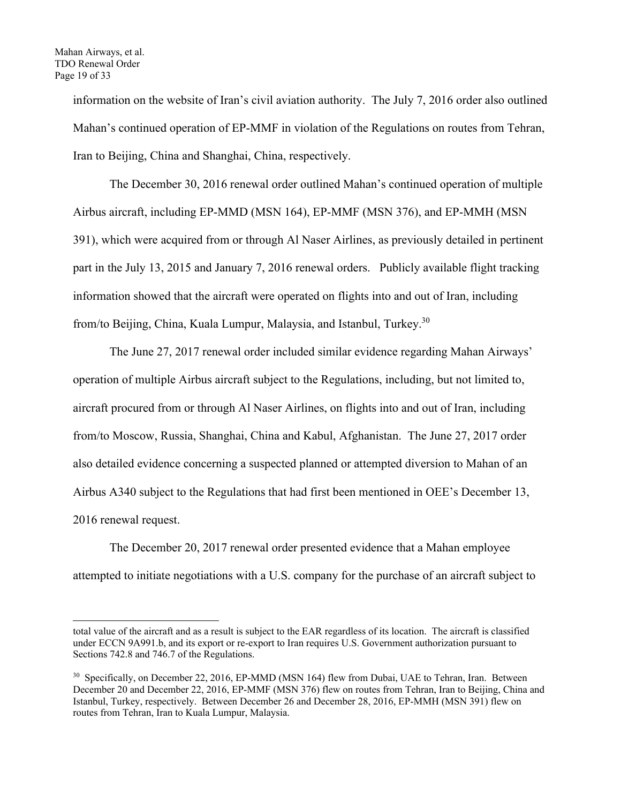information on the website of Iran's civil aviation authority. The July 7, 2016 order also outlined Mahan's continued operation of EP-MMF in violation of the Regulations on routes from Tehran, Iran to Beijing, China and Shanghai, China, respectively.

The December 30, 2016 renewal order outlined Mahan's continued operation of multiple Airbus aircraft, including EP-MMD (MSN 164), EP-MMF (MSN 376), and EP-MMH (MSN 391), which were acquired from or through Al Naser Airlines, as previously detailed in pertinent part in the July 13, 2015 and January 7, 2016 renewal orders. Publicly available flight tracking information showed that the aircraft were operated on flights into and out of Iran, including from/to Beijing, China, Kuala Lumpur, Malaysia, and Istanbul, Turkey.30

The June 27, 2017 renewal order included similar evidence regarding Mahan Airways' operation of multiple Airbus aircraft subject to the Regulations, including, but not limited to, aircraft procured from or through Al Naser Airlines, on flights into and out of Iran, including from/to Moscow, Russia, Shanghai, China and Kabul, Afghanistan. The June 27, 2017 order also detailed evidence concerning a suspected planned or attempted diversion to Mahan of an Airbus A340 subject to the Regulations that had first been mentioned in OEE's December 13, 2016 renewal request.

The December 20, 2017 renewal order presented evidence that a Mahan employee attempted to initiate negotiations with a U.S. company for the purchase of an aircraft subject to

total value of the aircraft and as a result is subject to the EAR regardless of its location. The aircraft is classified under ECCN 9A991.b, and its export or re-export to Iran requires U.S. Government authorization pursuant to Sections 742.8 and 746.7 of the Regulations.

 $30$  Specifically, on December 22, 2016, EP-MMD (MSN 164) flew from Dubai, UAE to Tehran, Iran. Between December 20 and December 22, 2016, EP-MMF (MSN 376) flew on routes from Tehran, Iran to Beijing, China and Istanbul, Turkey, respectively. Between December 26 and December 28, 2016, EP-MMH (MSN 391) flew on routes from Tehran, Iran to Kuala Lumpur, Malaysia.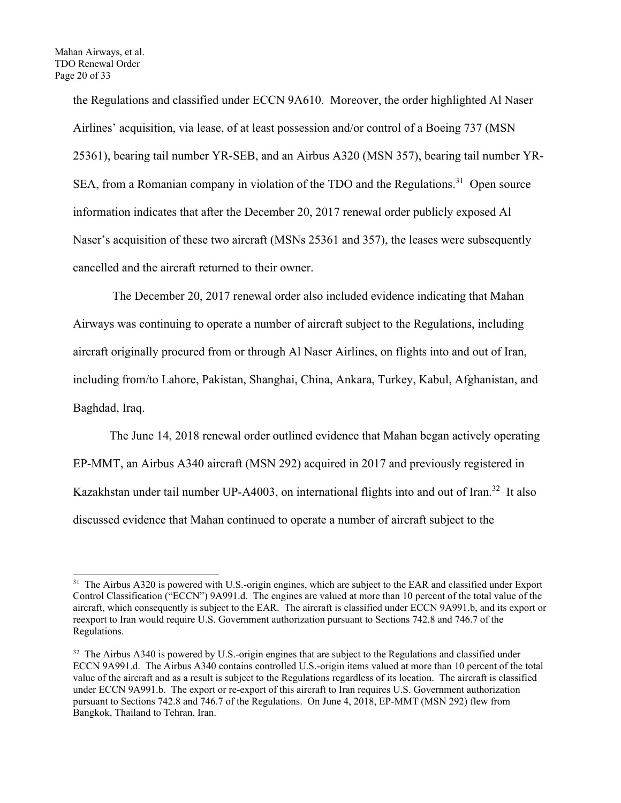the Regulations and classified under ECCN 9A610. Moreover, the order highlighted Al Naser Airlines' acquisition, via lease, of at least possession and/or control of a Boeing 737 (MSN 25361), bearing tail number YR-SEB, and an Airbus A320 (MSN 357), bearing tail number YR-SEA, from a Romanian company in violation of the TDO and the Regulations.<sup>31</sup> Open source information indicates that after the December 20, 2017 renewal order publicly exposed Al Naser's acquisition of these two aircraft (MSNs 25361 and 357), the leases were subsequently cancelled and the aircraft returned to their owner.

 The December 20, 2017 renewal order also included evidence indicating that Mahan Airways was continuing to operate a number of aircraft subject to the Regulations, including aircraft originally procured from or through Al Naser Airlines, on flights into and out of Iran, including from/to Lahore, Pakistan, Shanghai, China, Ankara, Turkey, Kabul, Afghanistan, and Baghdad, Iraq.

The June 14, 2018 renewal order outlined evidence that Mahan began actively operating EP-MMT, an Airbus A340 aircraft (MSN 292) acquired in 2017 and previously registered in Kazakhstan under tail number UP-A4003, on international flights into and out of Iran.<sup>32</sup> It also discussed evidence that Mahan continued to operate a number of aircraft subject to the

<sup>&</sup>lt;sup>31</sup> The Airbus A320 is powered with U.S.-origin engines, which are subject to the EAR and classified under Export Control Classification ("ECCN") 9A991.d. The engines are valued at more than 10 percent of the total value of the aircraft, which consequently is subject to the EAR. The aircraft is classified under ECCN 9A991.b, and its export or reexport to Iran would require U.S. Government authorization pursuant to Sections 742.8 and 746.7 of the Regulations.

<sup>&</sup>lt;sup>32</sup> The Airbus A340 is powered by U.S.-origin engines that are subject to the Regulations and classified under ECCN 9A991.d. The Airbus A340 contains controlled U.S.-origin items valued at more than 10 percent of the total value of the aircraft and as a result is subject to the Regulations regardless of its location. The aircraft is classified under ECCN 9A991.b. The export or re-export of this aircraft to Iran requires U.S. Government authorization pursuant to Sections 742.8 and 746.7 of the Regulations. On June 4, 2018, EP-MMT (MSN 292) flew from Bangkok, Thailand to Tehran, Iran.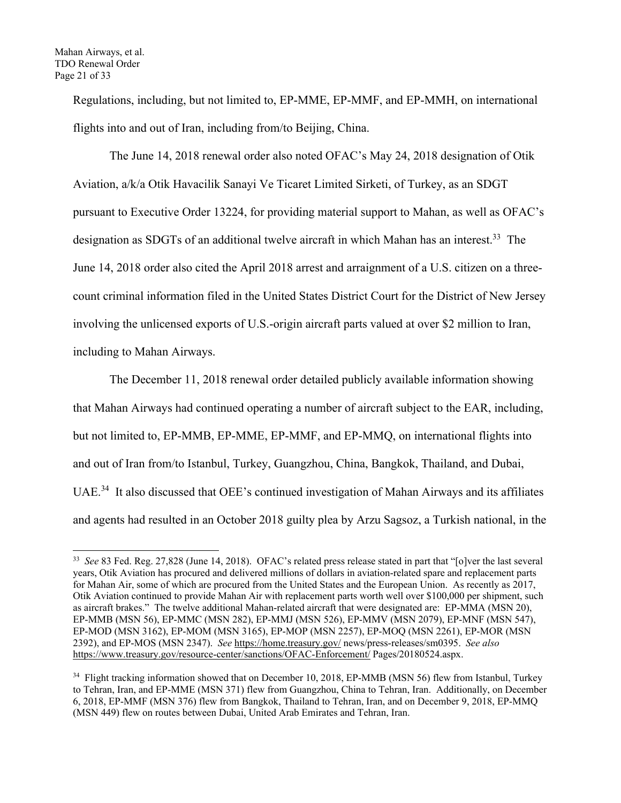Regulations, including, but not limited to, EP-MME, EP-MMF, and EP-MMH, on international flights into and out of Iran, including from/to Beijing, China.

The June 14, 2018 renewal order also noted OFAC's May 24, 2018 designation of Otik Aviation, a/k/a Otik Havacilik Sanayi Ve Ticaret Limited Sirketi, of Turkey, as an SDGT pursuant to Executive Order 13224, for providing material support to Mahan, as well as OFAC's designation as SDGTs of an additional twelve aircraft in which Mahan has an interest.<sup>33</sup> The June 14, 2018 order also cited the April 2018 arrest and arraignment of a U.S. citizen on a threecount criminal information filed in the United States District Court for the District of New Jersey involving the unlicensed exports of U.S.-origin aircraft parts valued at over \$2 million to Iran, including to Mahan Airways.

The December 11, 2018 renewal order detailed publicly available information showing that Mahan Airways had continued operating a number of aircraft subject to the EAR, including, but not limited to, EP-MMB, EP-MME, EP-MMF, and EP-MMQ, on international flights into and out of Iran from/to Istanbul, Turkey, Guangzhou, China, Bangkok, Thailand, and Dubai, UAE<sup>34</sup> It also discussed that OEE's continued investigation of Mahan Airways and its affiliates and agents had resulted in an October 2018 guilty plea by Arzu Sagsoz, a Turkish national, in the

<sup>33</sup> *See* 83 Fed. Reg. 27,828 (June 14, 2018). OFAC's related press release stated in part that "[o]ver the last several years, Otik Aviation has procured and delivered millions of dollars in aviation-related spare and replacement parts for Mahan Air, some of which are procured from the United States and the European Union. As recently as 2017, Otik Aviation continued to provide Mahan Air with replacement parts worth well over \$100,000 per shipment, such as aircraft brakes." The twelve additional Mahan-related aircraft that were designated are: EP-MMA (MSN 20), EP-MMB (MSN 56), EP-MMC (MSN 282), EP-MMJ (MSN 526), EP-MMV (MSN 2079), EP-MNF (MSN 547), EP-MOD (MSN 3162), EP-MOM (MSN 3165), EP-MOP (MSN 2257), EP-MOQ (MSN 2261), EP-MOR (MSN 2392), and EP-MOS (MSN 2347). *See* https://home.treasury.gov/ news/press-releases/sm0395. *See also* https://www.treasury.gov/resource-center/sanctions/OFAC-Enforcement/ Pages/20180524.aspx.

<sup>&</sup>lt;sup>34</sup> Flight tracking information showed that on December 10, 2018, EP-MMB (MSN 56) flew from Istanbul, Turkey to Tehran, Iran, and EP-MME (MSN 371) flew from Guangzhou, China to Tehran, Iran. Additionally, on December 6, 2018, EP-MMF (MSN 376) flew from Bangkok, Thailand to Tehran, Iran, and on December 9, 2018, EP-MMQ (MSN 449) flew on routes between Dubai, United Arab Emirates and Tehran, Iran.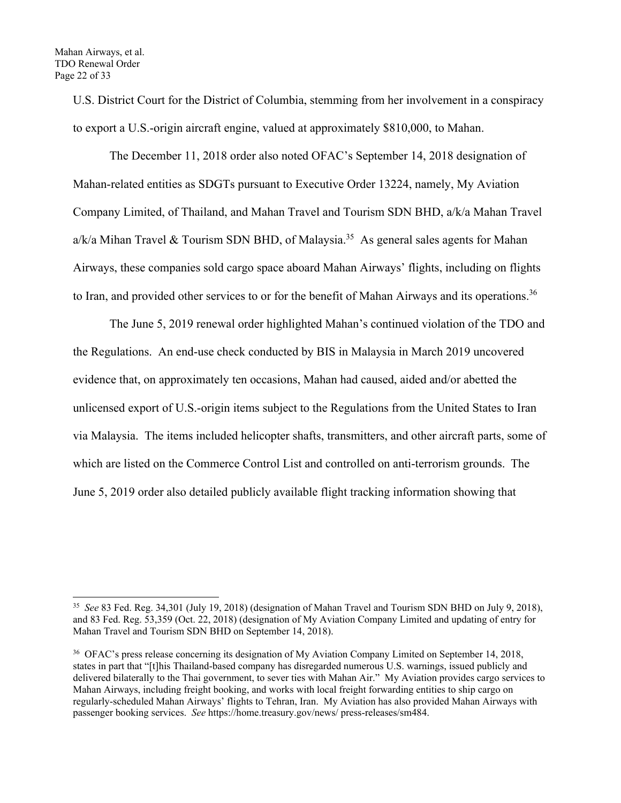U.S. District Court for the District of Columbia, stemming from her involvement in a conspiracy to export a U.S.-origin aircraft engine, valued at approximately \$810,000, to Mahan.

The December 11, 2018 order also noted OFAC's September 14, 2018 designation of Mahan-related entities as SDGTs pursuant to Executive Order 13224, namely, My Aviation Company Limited, of Thailand, and Mahan Travel and Tourism SDN BHD, a/k/a Mahan Travel a/k/a Mihan Travel & Tourism SDN BHD, of Malaysia.<sup>35</sup> As general sales agents for Mahan Airways, these companies sold cargo space aboard Mahan Airways' flights, including on flights to Iran, and provided other services to or for the benefit of Mahan Airways and its operations.<sup>36</sup>

The June 5, 2019 renewal order highlighted Mahan's continued violation of the TDO and the Regulations. An end-use check conducted by BIS in Malaysia in March 2019 uncovered evidence that, on approximately ten occasions, Mahan had caused, aided and/or abetted the unlicensed export of U.S.-origin items subject to the Regulations from the United States to Iran via Malaysia. The items included helicopter shafts, transmitters, and other aircraft parts, some of which are listed on the Commerce Control List and controlled on anti-terrorism grounds. The June 5, 2019 order also detailed publicly available flight tracking information showing that

<sup>35</sup> *See* 83 Fed. Reg. 34,301 (July 19, 2018) (designation of Mahan Travel and Tourism SDN BHD on July 9, 2018), and 83 Fed. Reg. 53,359 (Oct. 22, 2018) (designation of My Aviation Company Limited and updating of entry for Mahan Travel and Tourism SDN BHD on September 14, 2018).

<sup>36</sup> OFAC's press release concerning its designation of My Aviation Company Limited on September 14, 2018, states in part that "[t]his Thailand-based company has disregarded numerous U.S. warnings, issued publicly and delivered bilaterally to the Thai government, to sever ties with Mahan Air." My Aviation provides cargo services to Mahan Airways, including freight booking, and works with local freight forwarding entities to ship cargo on regularly-scheduled Mahan Airways' flights to Tehran, Iran. My Aviation has also provided Mahan Airways with passenger booking services. *See* https://home.treasury.gov/news/ press-releases/sm484.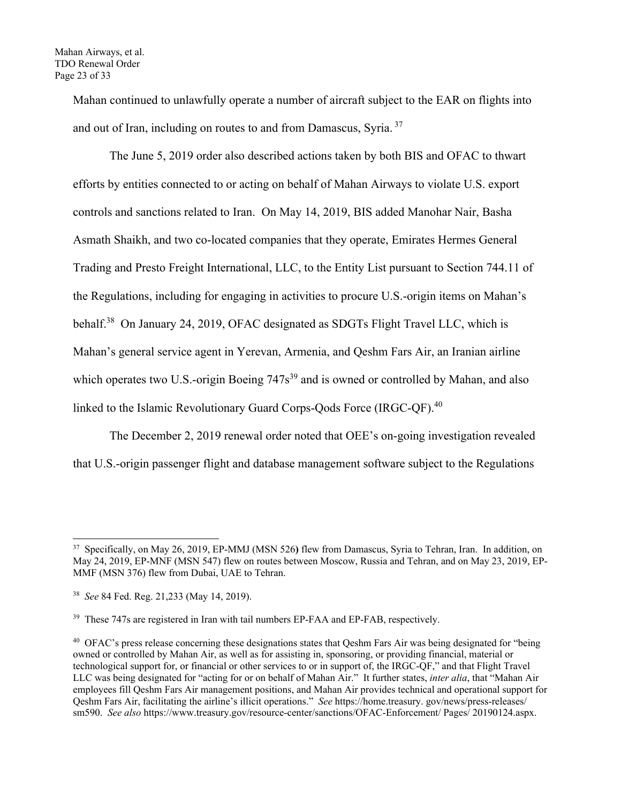Mahan continued to unlawfully operate a number of aircraft subject to the EAR on flights into and out of Iran, including on routes to and from Damascus, Syria.<sup>37</sup>

The June 5, 2019 order also described actions taken by both BIS and OFAC to thwart efforts by entities connected to or acting on behalf of Mahan Airways to violate U.S. export controls and sanctions related to Iran. On May 14, 2019, BIS added Manohar Nair, Basha Asmath Shaikh, and two co-located companies that they operate, Emirates Hermes General Trading and Presto Freight International, LLC, to the Entity List pursuant to Section 744.11 of the Regulations, including for engaging in activities to procure U.S.-origin items on Mahan's behalf.38 On January 24, 2019, OFAC designated as SDGTs Flight Travel LLC, which is Mahan's general service agent in Yerevan, Armenia, and Qeshm Fars Air, an Iranian airline which operates two U.S.-origin Boeing  $747s<sup>39</sup>$  and is owned or controlled by Mahan, and also linked to the Islamic Revolutionary Guard Corps-Oods Force (IRGC-OF).<sup>40</sup>

The December 2, 2019 renewal order noted that OEE's on-going investigation revealed that U.S.-origin passenger flight and database management software subject to the Regulations

<sup>37</sup> Specifically, on May 26, 2019, EP-MMJ (MSN 526**)** flew from Damascus, Syria to Tehran, Iran. In addition, on May 24, 2019, EP-MNF (MSN 547) flew on routes between Moscow, Russia and Tehran, and on May 23, 2019, EP-MMF (MSN 376) flew from Dubai, UAE to Tehran.

<sup>38</sup> *See* 84 Fed. Reg. 21,233 (May 14, 2019).

<sup>&</sup>lt;sup>39</sup> These 747s are registered in Iran with tail numbers EP-FAA and EP-FAB, respectively.

<sup>&</sup>lt;sup>40</sup> OFAC's press release concerning these designations states that Oeshm Fars Air was being designated for "being" owned or controlled by Mahan Air, as well as for assisting in, sponsoring, or providing financial, material or technological support for, or financial or other services to or in support of, the IRGC-QF," and that Flight Travel LLC was being designated for "acting for or on behalf of Mahan Air." It further states, *inter alia*, that "Mahan Air employees fill Qeshm Fars Air management positions, and Mahan Air provides technical and operational support for Qeshm Fars Air, facilitating the airline's illicit operations." *See* https://home.treasury. gov/news/press-releases/ sm590. *See also* https://www.treasury.gov/resource-center/sanctions/OFAC-Enforcement/ Pages/ 20190124.aspx.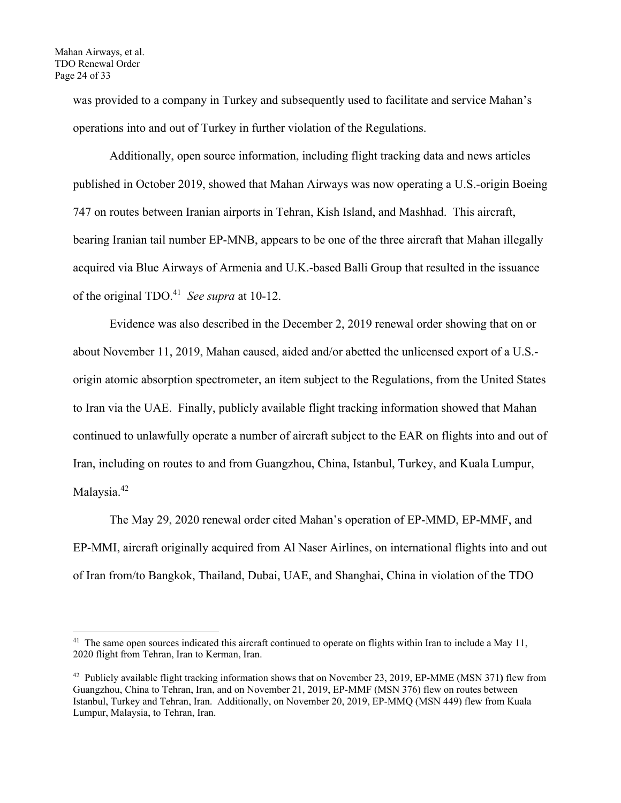was provided to a company in Turkey and subsequently used to facilitate and service Mahan's operations into and out of Turkey in further violation of the Regulations.

Additionally, open source information, including flight tracking data and news articles published in October 2019, showed that Mahan Airways was now operating a U.S.-origin Boeing 747 on routes between Iranian airports in Tehran, Kish Island, and Mashhad. This aircraft, bearing Iranian tail number EP-MNB, appears to be one of the three aircraft that Mahan illegally acquired via Blue Airways of Armenia and U.K.-based Balli Group that resulted in the issuance of the original TDO.41 *See supra* at 10-12.

Evidence was also described in the December 2, 2019 renewal order showing that on or about November 11, 2019, Mahan caused, aided and/or abetted the unlicensed export of a U.S. origin atomic absorption spectrometer, an item subject to the Regulations, from the United States to Iran via the UAE. Finally, publicly available flight tracking information showed that Mahan continued to unlawfully operate a number of aircraft subject to the EAR on flights into and out of Iran, including on routes to and from Guangzhou, China, Istanbul, Turkey, and Kuala Lumpur, Malaysia.<sup>42</sup>

The May 29, 2020 renewal order cited Mahan's operation of EP-MMD, EP-MMF, and EP-MMI, aircraft originally acquired from Al Naser Airlines, on international flights into and out of Iran from/to Bangkok, Thailand, Dubai, UAE, and Shanghai, China in violation of the TDO

<sup>&</sup>lt;sup>41</sup> The same open sources indicated this aircraft continued to operate on flights within Iran to include a May 11, 2020 flight from Tehran, Iran to Kerman, Iran.

<sup>42</sup> Publicly available flight tracking information shows that on November 23, 2019, EP-MME (MSN 371**)** flew from Guangzhou, China to Tehran, Iran, and on November 21, 2019, EP-MMF (MSN 376) flew on routes between Istanbul, Turkey and Tehran, Iran. Additionally, on November 20, 2019, EP-MMQ (MSN 449) flew from Kuala Lumpur, Malaysia, to Tehran, Iran.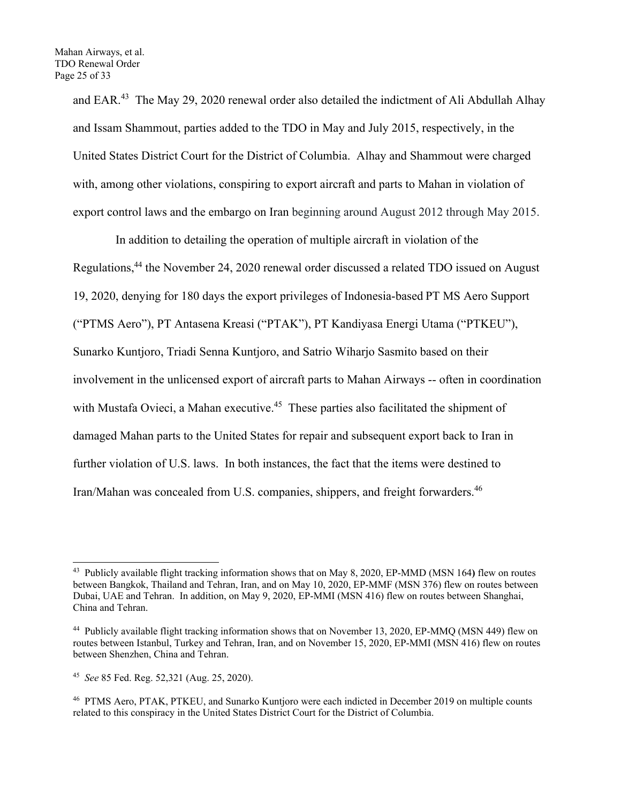and EAR.<sup>43</sup> The May 29, 2020 renewal order also detailed the indictment of Ali Abdullah Alhay and Issam Shammout, parties added to the TDO in May and July 2015, respectively, in the United States District Court for the District of Columbia. Alhay and Shammout were charged with, among other violations, conspiring to export aircraft and parts to Mahan in violation of export control laws and the embargo on Iran beginning around August 2012 through May 2015.

 In addition to detailing the operation of multiple aircraft in violation of the Regulations,<sup>44</sup> the November 24, 2020 renewal order discussed a related TDO issued on August 19, 2020, denying for 180 days the export privileges of Indonesia-based PT MS Aero Support ("PTMS Aero"), PT Antasena Kreasi ("PTAK"), PT Kandiyasa Energi Utama ("PTKEU"), Sunarko Kuntjoro, Triadi Senna Kuntjoro, and Satrio Wiharjo Sasmito based on their involvement in the unlicensed export of aircraft parts to Mahan Airways -- often in coordination with Mustafa Ovieci, a Mahan executive.<sup>45</sup> These parties also facilitated the shipment of damaged Mahan parts to the United States for repair and subsequent export back to Iran in further violation of U.S. laws. In both instances, the fact that the items were destined to Iran/Mahan was concealed from U.S. companies, shippers, and freight forwarders.<sup>46</sup>

<sup>43</sup> Publicly available flight tracking information shows that on May 8, 2020, EP-MMD (MSN 164**)** flew on routes between Bangkok, Thailand and Tehran, Iran, and on May 10, 2020, EP-MMF (MSN 376) flew on routes between Dubai, UAE and Tehran. In addition, on May 9, 2020, EP-MMI (MSN 416) flew on routes between Shanghai, China and Tehran.

<sup>44</sup> Publicly available flight tracking information shows that on November 13, 2020, EP-MMQ (MSN 449) flew on routes between Istanbul, Turkey and Tehran, Iran, and on November 15, 2020, EP-MMI (MSN 416) flew on routes between Shenzhen, China and Tehran.

<sup>45</sup> *See* 85 Fed. Reg. 52,321 (Aug. 25, 2020).

<sup>46</sup> PTMS Aero, PTAK, PTKEU, and Sunarko Kuntjoro were each indicted in December 2019 on multiple counts related to this conspiracy in the United States District Court for the District of Columbia.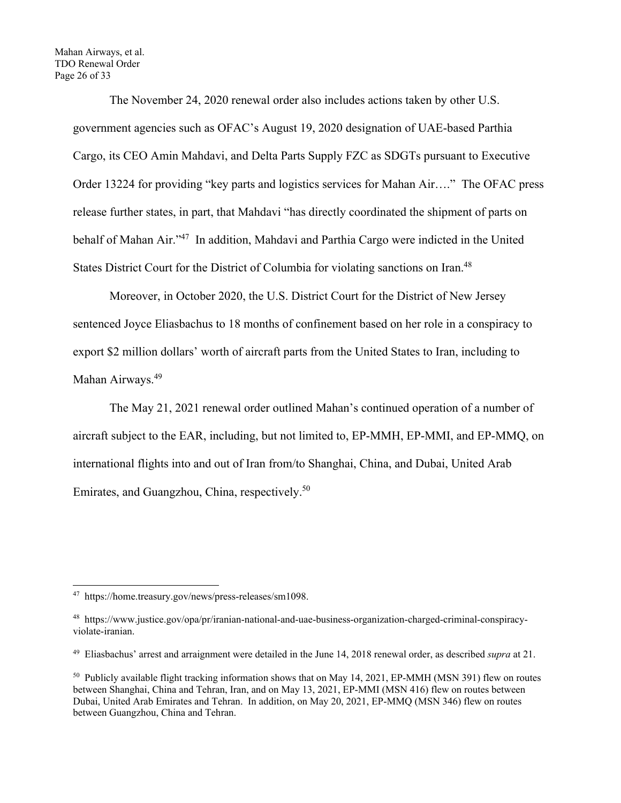Mahan Airways, et al. TDO Renewal Order Page 26 of 33

> The November 24, 2020 renewal order also includes actions taken by other U.S. government agencies such as OFAC's August 19, 2020 designation of UAE-based Parthia Cargo, its CEO Amin Mahdavi, and Delta Parts Supply FZC as SDGTs pursuant to Executive Order 13224 for providing "key parts and logistics services for Mahan Air…." The OFAC press release further states, in part, that Mahdavi "has directly coordinated the shipment of parts on behalf of Mahan Air."<sup>47</sup> In addition, Mahdavi and Parthia Cargo were indicted in the United States District Court for the District of Columbia for violating sanctions on Iran.<sup>48</sup>

Moreover, in October 2020, the U.S. District Court for the District of New Jersey sentenced Joyce Eliasbachus to 18 months of confinement based on her role in a conspiracy to export \$2 million dollars' worth of aircraft parts from the United States to Iran, including to Mahan Airways.<sup>49</sup>

The May 21, 2021 renewal order outlined Mahan's continued operation of a number of aircraft subject to the EAR, including, but not limited to, EP-MMH, EP-MMI, and EP-MMQ, on international flights into and out of Iran from/to Shanghai, China, and Dubai, United Arab Emirates, and Guangzhou, China, respectively.50

<sup>47</sup> https://home.treasury.gov/news/press-releases/sm1098.

<sup>48</sup> https://www.justice.gov/opa/pr/iranian-national-and-uae-business-organization-charged-criminal-conspiracyviolate-iranian.

<sup>49</sup> Eliasbachus' arrest and arraignment were detailed in the June 14, 2018 renewal order, as described *supra* at 21.

<sup>&</sup>lt;sup>50</sup> Publicly available flight tracking information shows that on May 14, 2021, EP-MMH (MSN 391) flew on routes between Shanghai, China and Tehran, Iran, and on May 13, 2021, EP-MMI (MSN 416) flew on routes between Dubai, United Arab Emirates and Tehran. In addition, on May 20, 2021, EP-MMQ (MSN 346) flew on routes between Guangzhou, China and Tehran.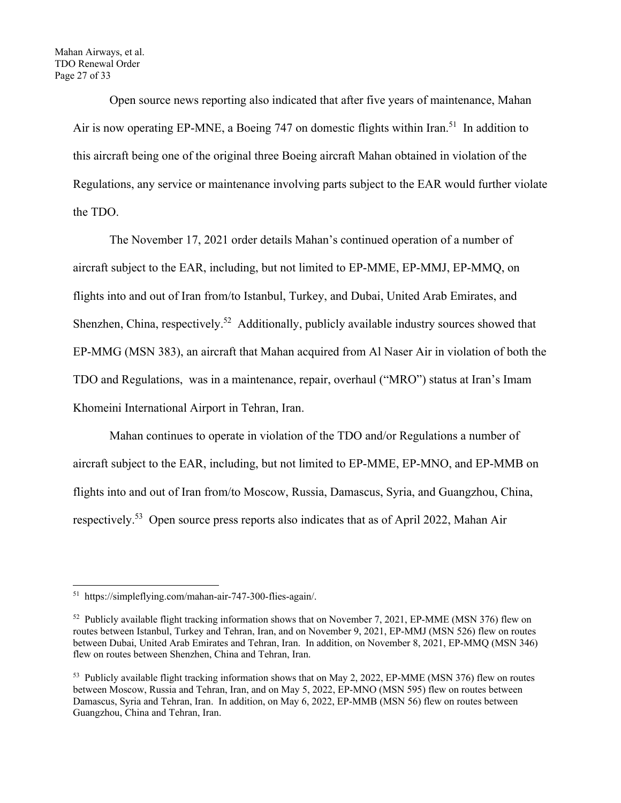Open source news reporting also indicated that after five years of maintenance, Mahan Air is now operating EP-MNE, a Boeing 747 on domestic flights within Iran.<sup>51</sup> In addition to this aircraft being one of the original three Boeing aircraft Mahan obtained in violation of the Regulations, any service or maintenance involving parts subject to the EAR would further violate the TDO.

The November 17, 2021 order details Mahan's continued operation of a number of aircraft subject to the EAR, including, but not limited to EP-MME, EP-MMJ, EP-MMQ, on flights into and out of Iran from/to Istanbul, Turkey, and Dubai, United Arab Emirates, and Shenzhen, China, respectively.<sup>52</sup> Additionally, publicly available industry sources showed that EP-MMG (MSN 383), an aircraft that Mahan acquired from Al Naser Air in violation of both the TDO and Regulations, was in a maintenance, repair, overhaul ("MRO") status at Iran's Imam Khomeini International Airport in Tehran, Iran.

Mahan continues to operate in violation of the TDO and/or Regulations a number of aircraft subject to the EAR, including, but not limited to EP-MME, EP-MNO, and EP-MMB on flights into and out of Iran from/to Moscow, Russia, Damascus, Syria, and Guangzhou, China, respectively.53 Open source press reports also indicates that as of April 2022, Mahan Air

<sup>51</sup> https://simpleflying.com/mahan-air-747-300-flies-again/.

<sup>&</sup>lt;sup>52</sup> Publicly available flight tracking information shows that on November 7, 2021, EP-MME (MSN 376) flew on routes between Istanbul, Turkey and Tehran, Iran, and on November 9, 2021, EP-MMJ (MSN 526) flew on routes between Dubai, United Arab Emirates and Tehran, Iran. In addition, on November 8, 2021, EP-MMQ (MSN 346) flew on routes between Shenzhen, China and Tehran, Iran.

<sup>&</sup>lt;sup>53</sup> Publicly available flight tracking information shows that on May 2, 2022, EP-MME (MSN 376) flew on routes between Moscow, Russia and Tehran, Iran, and on May 5, 2022, EP-MNO (MSN 595) flew on routes between Damascus, Syria and Tehran, Iran. In addition, on May 6, 2022, EP-MMB (MSN 56) flew on routes between Guangzhou, China and Tehran, Iran.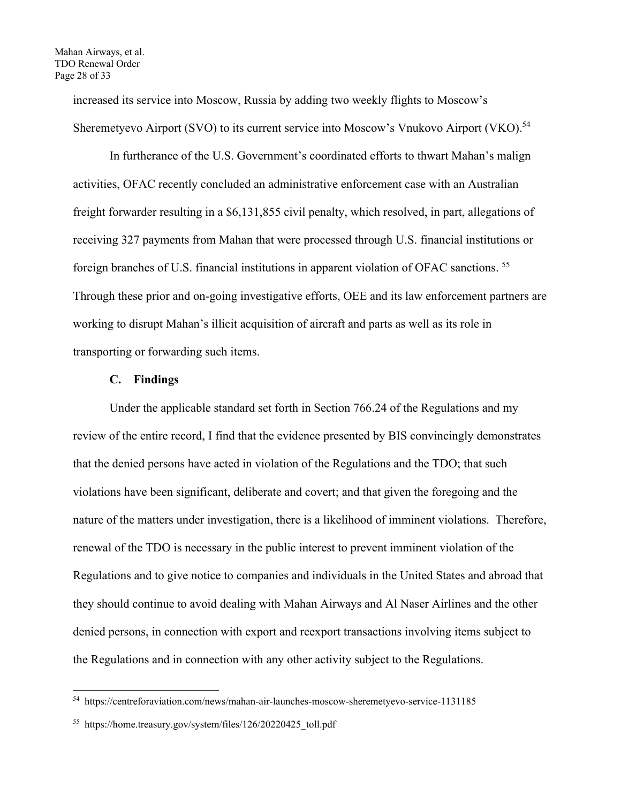increased its service into Moscow, Russia by adding two weekly flights to Moscow's Sheremetyevo Airport (SVO) to its current service into Moscow's Vnukovo Airport (VKO).<sup>54</sup>

In furtherance of the U.S. Government's coordinated efforts to thwart Mahan's malign activities, OFAC recently concluded an administrative enforcement case with an Australian freight forwarder resulting in a \$6,131,855 civil penalty, which resolved, in part, allegations of receiving 327 payments from Mahan that were processed through U.S. financial institutions or foreign branches of U.S. financial institutions in apparent violation of OFAC sanctions. 55 Through these prior and on-going investigative efforts, OEE and its law enforcement partners are working to disrupt Mahan's illicit acquisition of aircraft and parts as well as its role in transporting or forwarding such items.

#### **C. Findings**

 Under the applicable standard set forth in Section 766.24 of the Regulations and my review of the entire record, I find that the evidence presented by BIS convincingly demonstrates that the denied persons have acted in violation of the Regulations and the TDO; that such violations have been significant, deliberate and covert; and that given the foregoing and the nature of the matters under investigation, there is a likelihood of imminent violations. Therefore, renewal of the TDO is necessary in the public interest to prevent imminent violation of the Regulations and to give notice to companies and individuals in the United States and abroad that they should continue to avoid dealing with Mahan Airways and Al Naser Airlines and the other denied persons, in connection with export and reexport transactions involving items subject to the Regulations and in connection with any other activity subject to the Regulations.

<sup>54</sup> https://centreforaviation.com/news/mahan-air-launches-moscow-sheremetyevo-service-1131185

<sup>55</sup> https://home.treasury.gov/system/files/126/20220425 toll.pdf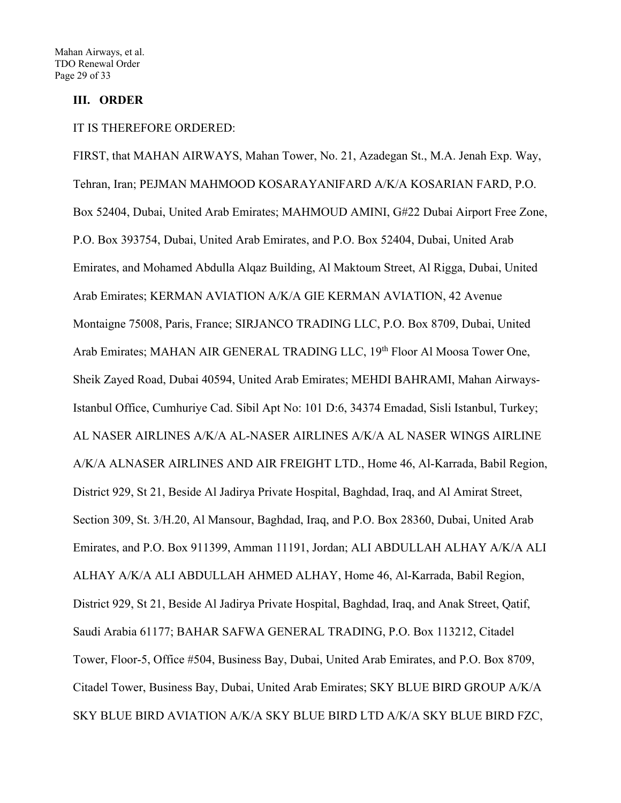# **III. ORDER**

#### IT IS THEREFORE ORDERED:

FIRST, that MAHAN AIRWAYS, Mahan Tower, No. 21, Azadegan St., M.A. Jenah Exp. Way, Tehran, Iran; PEJMAN MAHMOOD KOSARAYANIFARD A/K/A KOSARIAN FARD, P.O. Box 52404, Dubai, United Arab Emirates; MAHMOUD AMINI, G#22 Dubai Airport Free Zone, P.O. Box 393754, Dubai, United Arab Emirates, and P.O. Box 52404, Dubai, United Arab Emirates, and Mohamed Abdulla Alqaz Building, Al Maktoum Street, Al Rigga, Dubai, United Arab Emirates; KERMAN AVIATION A/K/A GIE KERMAN AVIATION, 42 Avenue Montaigne 75008, Paris, France; SIRJANCO TRADING LLC, P.O. Box 8709, Dubai, United Arab Emirates; MAHAN AIR GENERAL TRADING LLC, 19<sup>th</sup> Floor Al Moosa Tower One, Sheik Zayed Road, Dubai 40594, United Arab Emirates; MEHDI BAHRAMI, Mahan Airways-Istanbul Office, Cumhuriye Cad. Sibil Apt No: 101 D:6, 34374 Emadad, Sisli Istanbul, Turkey; AL NASER AIRLINES A/K/A AL-NASER AIRLINES A/K/A AL NASER WINGS AIRLINE A/K/A ALNASER AIRLINES AND AIR FREIGHT LTD., Home 46, Al-Karrada, Babil Region, District 929, St 21, Beside Al Jadirya Private Hospital, Baghdad, Iraq, and Al Amirat Street, Section 309, St. 3/H.20, Al Mansour, Baghdad, Iraq, and P.O. Box 28360, Dubai, United Arab Emirates, and P.O. Box 911399, Amman 11191, Jordan; ALI ABDULLAH ALHAY A/K/A ALI ALHAY A/K/A ALI ABDULLAH AHMED ALHAY, Home 46, Al-Karrada, Babil Region, District 929, St 21, Beside Al Jadirya Private Hospital, Baghdad, Iraq, and Anak Street, Qatif, Saudi Arabia 61177; BAHAR SAFWA GENERAL TRADING, P.O. Box 113212, Citadel Tower, Floor-5, Office #504, Business Bay, Dubai, United Arab Emirates, and P.O. Box 8709, Citadel Tower, Business Bay, Dubai, United Arab Emirates; SKY BLUE BIRD GROUP A/K/A SKY BLUE BIRD AVIATION A/K/A SKY BLUE BIRD LTD A/K/A SKY BLUE BIRD FZC,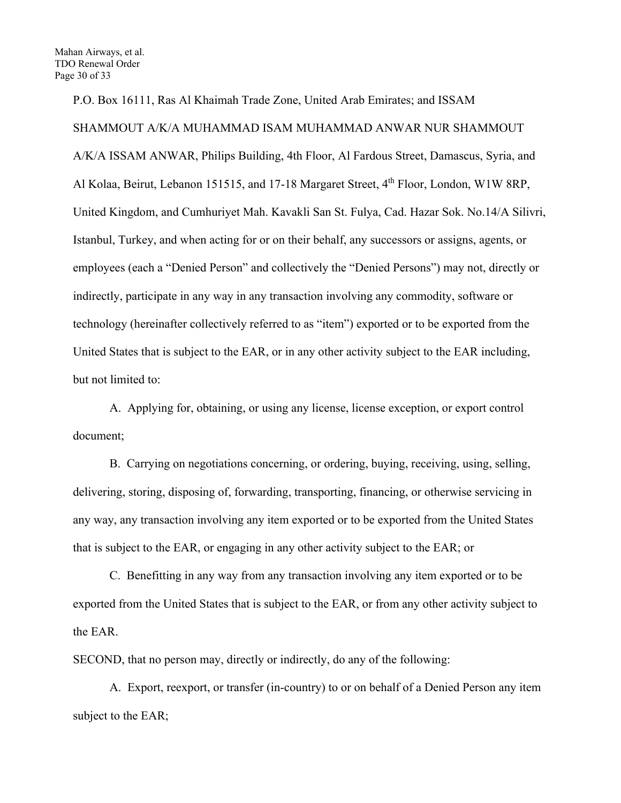P.O. Box 16111, Ras Al Khaimah Trade Zone, United Arab Emirates; and ISSAM SHAMMOUT A/K/A MUHAMMAD ISAM MUHAMMAD ANWAR NUR SHAMMOUT A/K/A ISSAM ANWAR, Philips Building, 4th Floor, Al Fardous Street, Damascus, Syria, and Al Kolaa, Beirut, Lebanon 151515, and 17-18 Margaret Street, 4<sup>th</sup> Floor, London, W1W 8RP, United Kingdom, and Cumhuriyet Mah. Kavakli San St. Fulya, Cad. Hazar Sok. No.14/A Silivri, Istanbul, Turkey, and when acting for or on their behalf, any successors or assigns, agents, or employees (each a "Denied Person" and collectively the "Denied Persons") may not, directly or indirectly, participate in any way in any transaction involving any commodity, software or technology (hereinafter collectively referred to as "item") exported or to be exported from the United States that is subject to the EAR, or in any other activity subject to the EAR including, but not limited to:

 A. Applying for, obtaining, or using any license, license exception, or export control document;

 B. Carrying on negotiations concerning, or ordering, buying, receiving, using, selling, delivering, storing, disposing of, forwarding, transporting, financing, or otherwise servicing in any way, any transaction involving any item exported or to be exported from the United States that is subject to the EAR, or engaging in any other activity subject to the EAR; or

 C. Benefitting in any way from any transaction involving any item exported or to be exported from the United States that is subject to the EAR, or from any other activity subject to the EAR.

SECOND, that no person may, directly or indirectly, do any of the following:

 A. Export, reexport, or transfer (in-country) to or on behalf of a Denied Person any item subject to the EAR;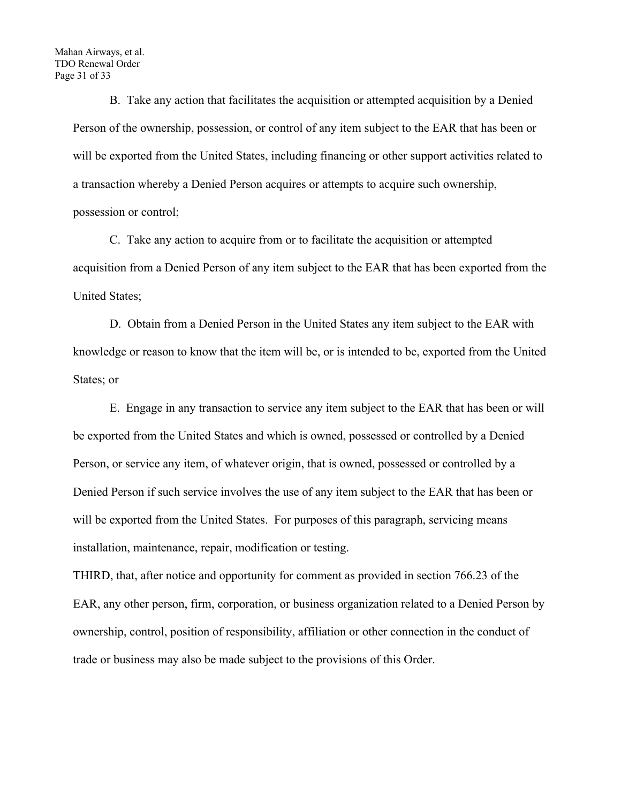B. Take any action that facilitates the acquisition or attempted acquisition by a Denied Person of the ownership, possession, or control of any item subject to the EAR that has been or will be exported from the United States, including financing or other support activities related to a transaction whereby a Denied Person acquires or attempts to acquire such ownership, possession or control;

 C. Take any action to acquire from or to facilitate the acquisition or attempted acquisition from a Denied Person of any item subject to the EAR that has been exported from the United States;

 D. Obtain from a Denied Person in the United States any item subject to the EAR with knowledge or reason to know that the item will be, or is intended to be, exported from the United States; or

 E. Engage in any transaction to service any item subject to the EAR that has been or will be exported from the United States and which is owned, possessed or controlled by a Denied Person, or service any item, of whatever origin, that is owned, possessed or controlled by a Denied Person if such service involves the use of any item subject to the EAR that has been or will be exported from the United States. For purposes of this paragraph, servicing means installation, maintenance, repair, modification or testing.

THIRD, that, after notice and opportunity for comment as provided in section 766.23 of the EAR, any other person, firm, corporation, or business organization related to a Denied Person by ownership, control, position of responsibility, affiliation or other connection in the conduct of trade or business may also be made subject to the provisions of this Order.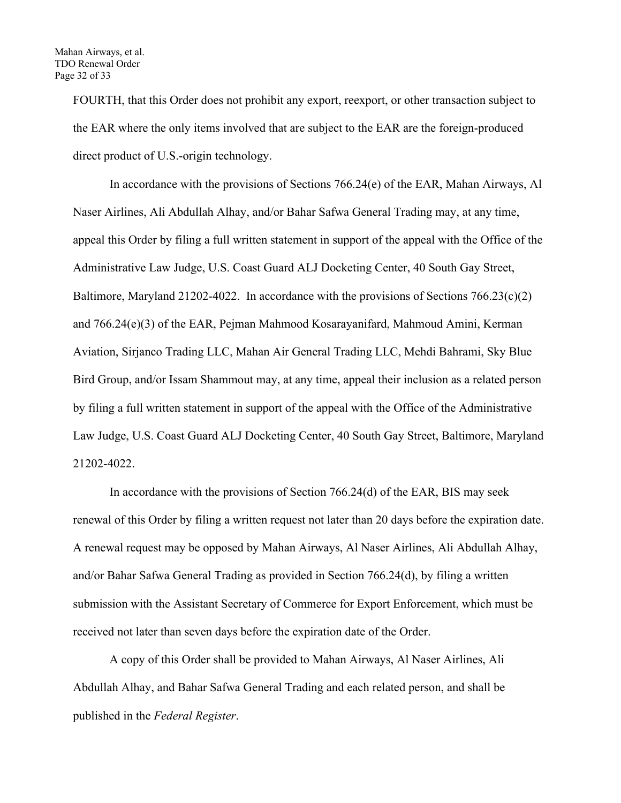FOURTH, that this Order does not prohibit any export, reexport, or other transaction subject to the EAR where the only items involved that are subject to the EAR are the foreign-produced direct product of U.S.-origin technology.

In accordance with the provisions of Sections 766.24(e) of the EAR, Mahan Airways, Al Naser Airlines, Ali Abdullah Alhay, and/or Bahar Safwa General Trading may, at any time, appeal this Order by filing a full written statement in support of the appeal with the Office of the Administrative Law Judge, U.S. Coast Guard ALJ Docketing Center, 40 South Gay Street, Baltimore, Maryland 21202-4022. In accordance with the provisions of Sections 766.23(c)(2) and 766.24(e)(3) of the EAR, Pejman Mahmood Kosarayanifard, Mahmoud Amini, Kerman Aviation, Sirjanco Trading LLC, Mahan Air General Trading LLC, Mehdi Bahrami, Sky Blue Bird Group, and/or Issam Shammout may, at any time, appeal their inclusion as a related person by filing a full written statement in support of the appeal with the Office of the Administrative Law Judge, U.S. Coast Guard ALJ Docketing Center, 40 South Gay Street, Baltimore, Maryland 21202-4022.

 In accordance with the provisions of Section 766.24(d) of the EAR, BIS may seek renewal of this Order by filing a written request not later than 20 days before the expiration date. A renewal request may be opposed by Mahan Airways, Al Naser Airlines, Ali Abdullah Alhay, and/or Bahar Safwa General Trading as provided in Section 766.24(d), by filing a written submission with the Assistant Secretary of Commerce for Export Enforcement, which must be received not later than seven days before the expiration date of the Order.

 A copy of this Order shall be provided to Mahan Airways, Al Naser Airlines, Ali Abdullah Alhay, and Bahar Safwa General Trading and each related person, and shall be published in the *Federal Register*.